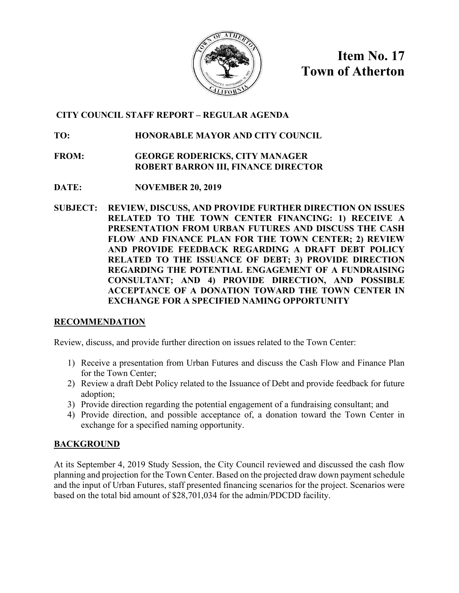

**Item No. 17 Town of Atherton**

# **CITY COUNCIL STAFF REPORT – REGULAR AGENDA**

# **TO: HONORABLE MAYOR AND CITY COUNCIL**

- **FROM: GEORGE RODERICKS, CITY MANAGER ROBERT BARRON III, FINANCE DIRECTOR**
- **DATE: NOVEMBER 20, 2019**
- **SUBJECT: REVIEW, DISCUSS, AND PROVIDE FURTHER DIRECTION ON ISSUES RELATED TO THE TOWN CENTER FINANCING: 1) RECEIVE A PRESENTATION FROM URBAN FUTURES AND DISCUSS THE CASH FLOW AND FINANCE PLAN FOR THE TOWN CENTER; 2) REVIEW AND PROVIDE FEEDBACK REGARDING A DRAFT DEBT POLICY RELATED TO THE ISSUANCE OF DEBT; 3) PROVIDE DIRECTION REGARDING THE POTENTIAL ENGAGEMENT OF A FUNDRAISING CONSULTANT; AND 4) PROVIDE DIRECTION, AND POSSIBLE ACCEPTANCE OF A DONATION TOWARD THE TOWN CENTER IN EXCHANGE FOR A SPECIFIED NAMING OPPORTUNITY**

# **RECOMMENDATION**

Review, discuss, and provide further direction on issues related to the Town Center:

- 1) Receive a presentation from Urban Futures and discuss the Cash Flow and Finance Plan for the Town Center;
- 2) Review a draft Debt Policy related to the Issuance of Debt and provide feedback for future adoption;
- 3) Provide direction regarding the potential engagement of a fundraising consultant; and
- 4) Provide direction, and possible acceptance of, a donation toward the Town Center in exchange for a specified naming opportunity.

# **BACKGROUND**

At its September 4, 2019 Study Session, the City Council reviewed and discussed the cash flow planning and projection for the Town Center. Based on the projected draw down payment schedule and the input of Urban Futures, staff presented financing scenarios for the project. Scenarios were based on the total bid amount of \$28,701,034 for the admin/PDCDD facility.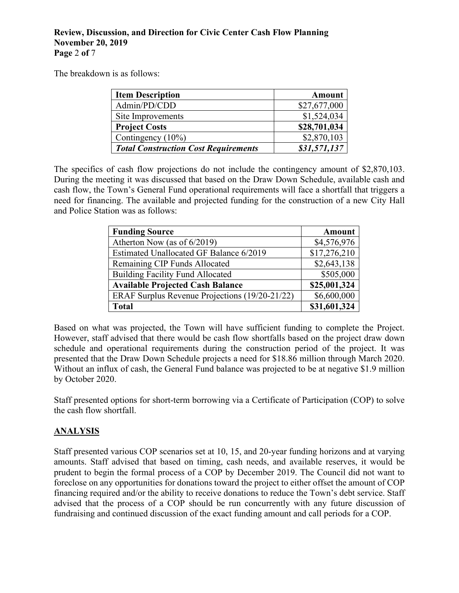# **Review, Discussion, and Direction for Civic Center Cash Flow Planning November 20, 2019 Page** 2 **of** 7

The breakdown is as follows:

| <b>Item Description</b>                     | <b>Amount</b> |
|---------------------------------------------|---------------|
| Admin/PD/CDD                                | \$27,677,000  |
| Site Improvements                           | \$1,524,034   |
| <b>Project Costs</b>                        | \$28,701,034  |
| Contingency (10%)                           | \$2,870,103   |
| <b>Total Construction Cost Requirements</b> | \$31,571,137  |

The specifics of cash flow projections do not include the contingency amount of \$2,870,103. During the meeting it was discussed that based on the Draw Down Schedule, available cash and cash flow, the Town's General Fund operational requirements will face a shortfall that triggers a need for financing. The available and projected funding for the construction of a new City Hall and Police Station was as follows:

| <b>Funding Source</b>                          | <b>Amount</b> |
|------------------------------------------------|---------------|
| Atherton Now (as of 6/2019)                    | \$4,576,976   |
| Estimated Unallocated GF Balance 6/2019        | \$17,276,210  |
| Remaining CIP Funds Allocated                  | \$2,643,138   |
| <b>Building Facility Fund Allocated</b>        | \$505,000     |
| <b>Available Projected Cash Balance</b>        | \$25,001,324  |
| ERAF Surplus Revenue Projections (19/20-21/22) | \$6,600,000   |
| <b>Total</b>                                   | \$31,601,324  |

Based on what was projected, the Town will have sufficient funding to complete the Project. However, staff advised that there would be cash flow shortfalls based on the project draw down schedule and operational requirements during the construction period of the project. It was presented that the Draw Down Schedule projects a need for \$18.86 million through March 2020. Without an influx of cash, the General Fund balance was projected to be at negative \$1.9 million by October 2020.

Staff presented options for short-term borrowing via a Certificate of Participation (COP) to solve the cash flow shortfall.

# **ANALYSIS**

Staff presented various COP scenarios set at 10, 15, and 20-year funding horizons and at varying amounts. Staff advised that based on timing, cash needs, and available reserves, it would be prudent to begin the formal process of a COP by December 2019. The Council did not want to foreclose on any opportunities for donations toward the project to either offset the amount of COP financing required and/or the ability to receive donations to reduce the Town's debt service. Staff advised that the process of a COP should be run concurrently with any future discussion of fundraising and continued discussion of the exact funding amount and call periods for a COP.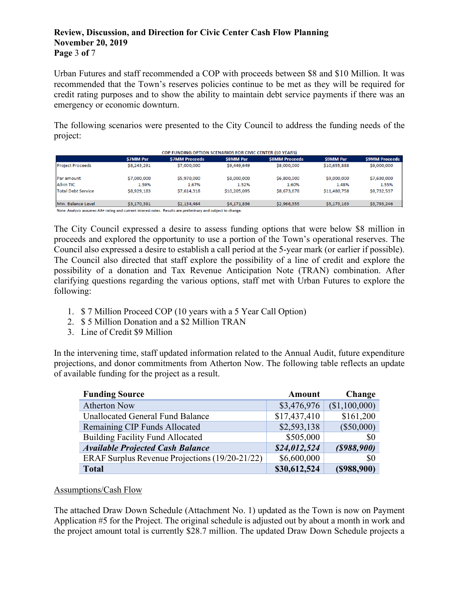# **Review, Discussion, and Direction for Civic Center Cash Flow Planning November 20, 2019 Page** 3 **of** 7

Urban Futures and staff recommended a COP with proceeds between \$8 and \$10 Million. It was recommended that the Town's reserves policies continue to be met as they will be required for credit rating purposes and to show the ability to maintain debt service payments if there was an emergency or economic downturn.

The following scenarios were presented to the City Council to address the funding needs of the project:

|                         | <b>S7MM Par</b> | <b>S7MM Proceeds</b> | <b>S8MM Par</b> | <b>S8MM Proceeds</b> | <b>S9MM Par</b> | <b>S9MM Proceeds</b> |
|-------------------------|-----------------|----------------------|-----------------|----------------------|-----------------|----------------------|
| <b>Project Proceeds</b> | S8,243,291      | \$7,000,000          | \$9,449,649     | \$8,000,000          | \$10,655,888    | \$9,000,000          |
| Par amount              | \$7,000,000     | \$5,970,000          | \$8,000,000     | \$6,800,000          | \$9,000,000     | \$7,630,000          |
| <b>All-in TIC</b>       | 1.59%           | 1.67%                | 1.52%           | 1.60%                | 1.48%           | 1.55%                |
| Total Debt Service      | \$8,929,183     | \$7,614,318          | \$10,205,095    | \$8,673,678          | \$11,480,758    | \$9,732,537          |
| Min. Balance Level      | \$3,170,391     | \$2,134,464          | \$4,171,836     | \$2,966,355          | \$5,173,163     | \$3,793,246          |

Note: Analysis assumes AA+ rating and current interest rates. Results are preliminary and subject to change.

The City Council expressed a desire to assess funding options that were below \$8 million in proceeds and explored the opportunity to use a portion of the Town's operational reserves. The Council also expressed a desire to establish a call period at the 5-year mark (or earlier if possible). The Council also directed that staff explore the possibility of a line of credit and explore the possibility of a donation and Tax Revenue Anticipation Note (TRAN) combination. After clarifying questions regarding the various options, staff met with Urban Futures to explore the following:

- 1. \$ 7 Million Proceed COP (10 years with a 5 Year Call Option)
- 2. \$ 5 Million Donation and a \$2 Million TRAN
- 3. Line of Credit \$9 Million

In the intervening time, staff updated information related to the Annual Audit, future expenditure projections, and donor commitments from Atherton Now. The following table reflects an update of available funding for the project as a result.

| <b>Funding Source</b>                          | <b>Amount</b> | Change         |
|------------------------------------------------|---------------|----------------|
| <b>Atherton Now</b>                            | \$3,476,976   | (\$1,100,000)  |
| <b>Unallocated General Fund Balance</b>        | \$17,437,410  | \$161,200      |
| Remaining CIP Funds Allocated                  | \$2,593,138   | $(\$50,000)$   |
| <b>Building Facility Fund Allocated</b>        | \$505,000     | \$0            |
| <b>Available Projected Cash Balance</b>        | \$24,012,524  | $($ \$988,900) |
| ERAF Surplus Revenue Projections (19/20-21/22) | \$6,600,000   | \$0            |
| <b>Total</b>                                   | \$30,612,524  | $($ \$988,900) |

# Assumptions/Cash Flow

The attached Draw Down Schedule (Attachment No. 1) updated as the Town is now on Payment Application #5 for the Project. The original schedule is adjusted out by about a month in work and the project amount total is currently \$28.7 million. The updated Draw Down Schedule projects a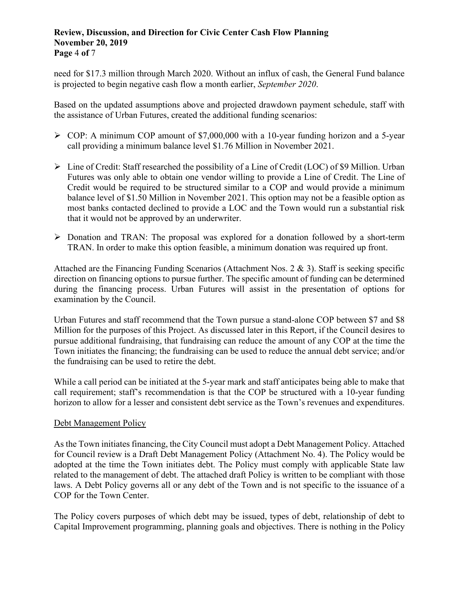# **Review, Discussion, and Direction for Civic Center Cash Flow Planning November 20, 2019 Page** 4 **of** 7

need for \$17.3 million through March 2020. Without an influx of cash, the General Fund balance is projected to begin negative cash flow a month earlier, *September 2020*.

Based on the updated assumptions above and projected drawdown payment schedule, staff with the assistance of Urban Futures, created the additional funding scenarios:

- $\triangleright$  COP: A minimum COP amount of \$7,000,000 with a 10-year funding horizon and a 5-year call providing a minimum balance level \$1.76 Million in November 2021.
- $\triangleright$  Line of Credit: Staff researched the possibility of a Line of Credit (LOC) of \$9 Million. Urban Futures was only able to obtain one vendor willing to provide a Line of Credit. The Line of Credit would be required to be structured similar to a COP and would provide a minimum balance level of \$1.50 Million in November 2021. This option may not be a feasible option as most banks contacted declined to provide a LOC and the Town would run a substantial risk that it would not be approved by an underwriter.
- Donation and TRAN: The proposal was explored for a donation followed by a short-term TRAN. In order to make this option feasible, a minimum donation was required up front.

Attached are the Financing Funding Scenarios (Attachment Nos.  $2 \& 3$ ). Staff is seeking specific direction on financing options to pursue further. The specific amount of funding can be determined during the financing process. Urban Futures will assist in the presentation of options for examination by the Council.

Urban Futures and staff recommend that the Town pursue a stand-alone COP between \$7 and \$8 Million for the purposes of this Project. As discussed later in this Report, if the Council desires to pursue additional fundraising, that fundraising can reduce the amount of any COP at the time the Town initiates the financing; the fundraising can be used to reduce the annual debt service; and/or the fundraising can be used to retire the debt.

While a call period can be initiated at the 5-year mark and staff anticipates being able to make that call requirement; staff's recommendation is that the COP be structured with a 10-year funding horizon to allow for a lesser and consistent debt service as the Town's revenues and expenditures.

# Debt Management Policy

As the Town initiates financing, the City Council must adopt a Debt Management Policy. Attached for Council review is a Draft Debt Management Policy (Attachment No. 4). The Policy would be adopted at the time the Town initiates debt. The Policy must comply with applicable State law related to the management of debt. The attached draft Policy is written to be compliant with those laws. A Debt Policy governs all or any debt of the Town and is not specific to the issuance of a COP for the Town Center.

The Policy covers purposes of which debt may be issued, types of debt, relationship of debt to Capital Improvement programming, planning goals and objectives. There is nothing in the Policy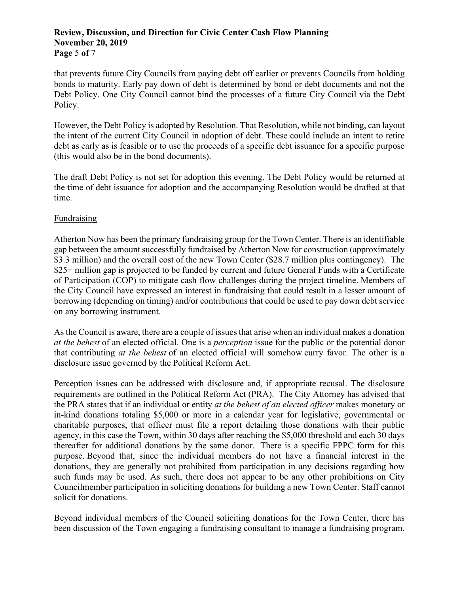# **Review, Discussion, and Direction for Civic Center Cash Flow Planning November 20, 2019 Page** 5 **of** 7

that prevents future City Councils from paying debt off earlier or prevents Councils from holding bonds to maturity. Early pay down of debt is determined by bond or debt documents and not the Debt Policy. One City Council cannot bind the processes of a future City Council via the Debt Policy.

However, the Debt Policy is adopted by Resolution. That Resolution, while not binding, can layout the intent of the current City Council in adoption of debt. These could include an intent to retire debt as early as is feasible or to use the proceeds of a specific debt issuance for a specific purpose (this would also be in the bond documents).

The draft Debt Policy is not set for adoption this evening. The Debt Policy would be returned at the time of debt issuance for adoption and the accompanying Resolution would be drafted at that time.

# Fundraising

Atherton Now has been the primary fundraising group for the Town Center. There is an identifiable gap between the amount successfully fundraised by Atherton Now for construction (approximately \$3.3 million) and the overall cost of the new Town Center (\$28.7 million plus contingency). The \$25+ million gap is projected to be funded by current and future General Funds with a Certificate of Participation (COP) to mitigate cash flow challenges during the project timeline. Members of the City Council have expressed an interest in fundraising that could result in a lesser amount of borrowing (depending on timing) and/or contributions that could be used to pay down debt service on any borrowing instrument.

As the Council is aware, there are a couple of issues that arise when an individual makes a donation *at the behest* of an elected official. One is a *perception* issue for the public or the potential donor that contributing *at the behest* of an elected official will somehow curry favor. The other is a disclosure issue governed by the Political Reform Act.

Perception issues can be addressed with disclosure and, if appropriate recusal. The disclosure requirements are outlined in the Political Reform Act (PRA). The City Attorney has advised that the PRA states that if an individual or entity *at the behest of an elected officer* makes monetary or in-kind donations totaling \$5,000 or more in a calendar year for legislative, governmental or charitable purposes, that officer must file a report detailing those donations with their public agency, in this case the Town, within 30 days after reaching the \$5,000 threshold and each 30 days thereafter for additional donations by the same donor. There is a specific FPPC form for this purpose. Beyond that, since the individual members do not have a financial interest in the donations, they are generally not prohibited from participation in any decisions regarding how such funds may be used. As such, there does not appear to be any other prohibitions on City Councilmember participation in soliciting donations for building a new Town Center. Staff cannot solicit for donations.

Beyond individual members of the Council soliciting donations for the Town Center, there has been discussion of the Town engaging a fundraising consultant to manage a fundraising program.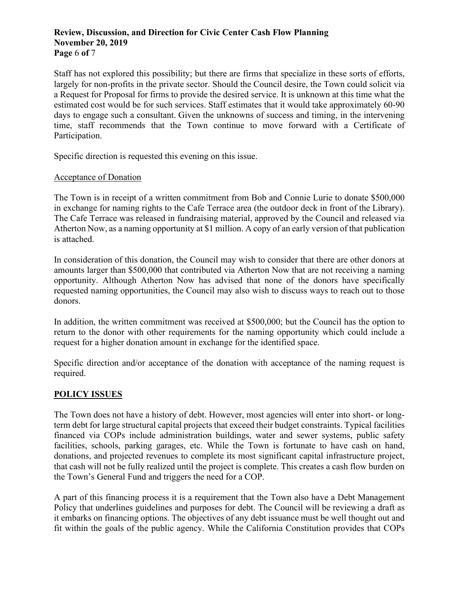# **Review, Discussion, and Direction for Civic Center Cash Flow Planning November 20, 2019 Page** 6 **of** 7

Staff has not explored this possibility; but there are firms that specialize in these sorts of efforts, largely for non-profits in the private sector. Should the Council desire, the Town could solicit via a Request for Proposal for firms to provide the desired service. It is unknown at this time what the estimated cost would be for such services. Staff estimates that it would take approximately 60-90 days to engage such a consultant. Given the unknowns of success and timing, in the intervening time, staff recommends that the Town continue to move forward with a Certificate of Participation.

Specific direction is requested this evening on this issue.

# Acceptance of Donation

The Town is in receipt of a written commitment from Bob and Connie Lurie to donate \$500,000 in exchange for naming rights to the Cafe Terrace area (the outdoor deck in front of the Library). The Cafe Terrace was released in fundraising material, approved by the Council and released via Atherton Now, as a naming opportunity at \$1 million. A copy of an early version of that publication is attached.

In consideration of this donation, the Council may wish to consider that there are other donors at amounts larger than \$500,000 that contributed via Atherton Now that are not receiving a naming opportunity. Although Atherton Now has advised that none of the donors have specifically requested naming opportunities, the Council may also wish to discuss ways to reach out to those donors.

In addition, the written commitment was received at \$500,000; but the Council has the option to return to the donor with other requirements for the naming opportunity which could include a request for a higher donation amount in exchange for the identified space.

Specific direction and/or acceptance of the donation with acceptance of the naming request is required.

# **POLICY ISSUES**

The Town does not have a history of debt. However, most agencies will enter into short- or longterm debt for large structural capital projects that exceed their budget constraints. Typical facilities financed via COPs include administration buildings, water and sewer systems, public safety facilities, schools, parking garages, etc. While the Town is fortunate to have cash on hand, donations, and projected revenues to complete its most significant capital infrastructure project, that cash will not be fully realized until the project is complete. This creates a cash flow burden on the Town's General Fund and triggers the need for a COP.

A part of this financing process it is a requirement that the Town also have a Debt Management Policy that underlines guidelines and purposes for debt. The Council will be reviewing a draft as it embarks on financing options. The objectives of any debt issuance must be well thought out and fit within the goals of the public agency. While the California Constitution provides that COPs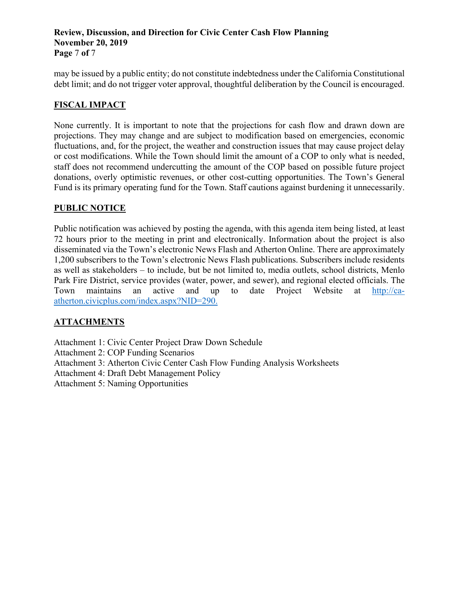# **Review, Discussion, and Direction for Civic Center Cash Flow Planning November 20, 2019 Page** 7 **of** 7

may be issued by a public entity; do not constitute indebtedness under the California Constitutional debt limit; and do not trigger voter approval, thoughtful deliberation by the Council is encouraged.

# **FISCAL IMPACT**

None currently. It is important to note that the projections for cash flow and drawn down are projections. They may change and are subject to modification based on emergencies, economic fluctuations, and, for the project, the weather and construction issues that may cause project delay or cost modifications. While the Town should limit the amount of a COP to only what is needed, staff does not recommend undercutting the amount of the COP based on possible future project donations, overly optimistic revenues, or other cost-cutting opportunities. The Town's General Fund is its primary operating fund for the Town. Staff cautions against burdening it unnecessarily.

# **PUBLIC NOTICE**

Public notification was achieved by posting the agenda, with this agenda item being listed, at least 72 hours prior to the meeting in print and electronically. Information about the project is also disseminated via the Town's electronic News Flash and Atherton Online. There are approximately 1,200 subscribers to the Town's electronic News Flash publications. Subscribers include residents as well as stakeholders – to include, but be not limited to, media outlets, school districts, Menlo Park Fire District, service provides (water, power, and sewer), and regional elected officials. The Town maintains an active and up to date Project Website at [http://ca](http://ca-atherton.civicplus.com/index.aspx?NID=290)[atherton.civicplus.com/index.aspx?NID=290.](http://ca-atherton.civicplus.com/index.aspx?NID=290)

# **ATTACHMENTS**

Attachment 1: Civic Center Project Draw Down Schedule

- Attachment 2: COP Funding Scenarios
- Attachment 3: Atherton Civic Center Cash Flow Funding Analysis Worksheets
- Attachment 4: Draft Debt Management Policy

Attachment 5: Naming Opportunities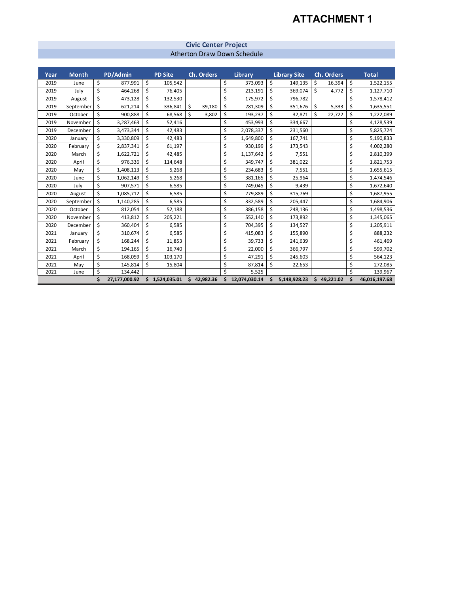# **ATTACHMENT 1**

#### **Civic Center Project** Atherton Draw Down Schedule

| Year | <b>Month</b><br>PD/Admin |    | <b>PD Site</b> |                | Library<br>Ch. Orders |           |    |               | <b>Library Site</b> | Ch. Orders   | <b>Total</b>    |                     |
|------|--------------------------|----|----------------|----------------|-----------------------|-----------|----|---------------|---------------------|--------------|-----------------|---------------------|
| 2019 | June                     | \$ | 877,991        | \$<br>105,542  |                       |           | \$ | 373,093       | \$                  | 149,135      | \$<br>16,394    | \$<br>1,522,155     |
| 2019 | July                     | \$ | 464,268        | \$<br>76.405   |                       |           | \$ | 213,191       | \$                  | 369,074      | \$<br>4,772     | \$<br>1,127,710     |
| 2019 | August                   | \$ | 473,128        | \$<br>132,530  |                       |           | \$ | 175,972       | \$                  | 796,782      |                 | \$<br>1,578,412     |
| 2019 | September                | \$ | 621,214        | \$<br>336,841  | \$                    | 39,180    | \$ | 281,309       | \$                  | 351,676      | \$<br>5,333     | \$<br>1,635,551     |
| 2019 | October                  | \$ | 900,888        | \$<br>68,568   | Ś                     | 3,802     | \$ | 193,237       | \$                  | 32,871       | \$<br>22,722    | \$<br>1,222,089     |
| 2019 | November                 | \$ | 3,287,463      | \$<br>52,416   |                       |           | Ś  | 453,993       | \$                  | 334,667      |                 | \$<br>4,128,539     |
| 2019 | December                 | \$ | 3,473,344      | \$<br>42,483   |                       |           | \$ | 2,078,337     | \$                  | 231,560      |                 | \$<br>5,825,724     |
| 2020 | January                  | \$ | 3,330,809      | \$<br>42,483   |                       |           | \$ | 1,649,800     | \$                  | 167,741      |                 | \$<br>5,190,833     |
| 2020 | February                 | \$ | 2,837,341      | \$<br>61,197   |                       |           | \$ | 930,199       | \$                  | 173,543      |                 | \$<br>4,002,280     |
| 2020 | March                    | \$ | 1,622,721      | \$<br>42,485   |                       |           | \$ | 1,137,642     | \$                  | 7,551        |                 | \$<br>2,810,399     |
| 2020 | April                    | \$ | 976,336        | \$<br>114,648  |                       |           | \$ | 349,747       | \$                  | 381,022      |                 | \$<br>1,821,753     |
| 2020 | May                      | \$ | 1,408,113      | \$<br>5,268    |                       |           | \$ | 234,683       | \$                  | 7,551        |                 | \$<br>1,655,615     |
| 2020 | June                     | \$ | 1,062,149      | \$<br>5,268    |                       |           | \$ | 381,165       | \$                  | 25,964       |                 | \$<br>1,474,546     |
| 2020 | July                     | \$ | 907,571        | \$<br>6,585    |                       |           | \$ | 749,045       | \$                  | 9,439        |                 | \$<br>1,672,640     |
| 2020 | August                   | \$ | 1,085,712      | \$<br>6,585    |                       |           | \$ | 279,889       | \$                  | 315,769      |                 | \$<br>1,687,955     |
| 2020 | September                | \$ | 1,140,285      | \$<br>6,585    |                       |           | \$ | 332,589       | \$                  | 205,447      |                 | \$<br>1,684,906     |
| 2020 | October                  | \$ | 812,054        | \$<br>52,188   |                       |           | \$ | 386,158       | \$                  | 248,136      |                 | \$<br>1,498,536     |
| 2020 | November                 | \$ | 413,812        | \$<br>205,221  |                       |           | \$ | 552,140       | \$                  | 173,892      |                 | \$<br>1,345,065     |
| 2020 | December                 | \$ | 360,404        | \$<br>6,585    |                       |           | \$ | 704,395       | \$                  | 134,527      |                 | \$<br>1,205,911     |
| 2021 | January                  | \$ | 310,674        | \$<br>6,585    |                       |           | \$ | 415,083       | \$                  | 155,890      |                 | \$<br>888,232       |
| 2021 | February                 | \$ | 168,244        | \$<br>11,853   |                       |           | \$ | 39,733        | Ś                   | 241,639      |                 | \$<br>461,469       |
| 2021 | March                    | \$ | 194,165        | \$<br>16,740   |                       |           | \$ | 22,000        | \$                  | 366,797      |                 | \$<br>599,702       |
| 2021 | April                    | \$ | 168,059        | \$<br>103,170  |                       |           | \$ | 47,291        | \$                  | 245,603      |                 | \$<br>564,123       |
| 2021 | May                      | \$ | 145,814        | \$<br>15,804   |                       |           | \$ | 87,814        | \$                  | 22,653       |                 | \$<br>272,085       |
| 2021 | June                     | \$ | 134,442        |                |                       |           | Ś  | 5,525         |                     |              |                 | \$<br>139,967       |
|      |                          | \$ | 27,177,000.92  | \$1,524,035.01 | \$                    | 42,982.36 | \$ | 12,074,030.14 | Ś                   | 5,148,928.23 | \$<br>49,221.02 | \$<br>46,016,197.68 |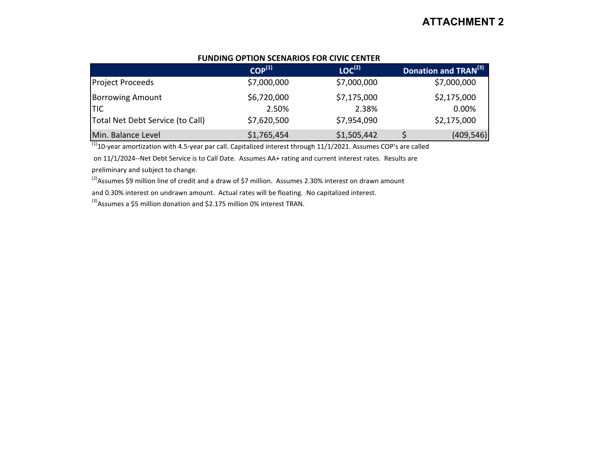# A**ATTACHMENT 2**

| <b>FUNDING OPTION SCENARIOS FOR CIVIC CENTER</b> |  |
|--------------------------------------------------|--|
|--------------------------------------------------|--|

|                                  | $COP^{(1)}$ | $LOC^{(2)}$ | Donation and TRAN(3) |
|----------------------------------|-------------|-------------|----------------------|
| <b>Project Proceeds</b>          | \$7,000,000 | \$7,000,000 | \$7,000,000          |
| <b>Borrowing Amount</b>          | \$6,720,000 | \$7,175,000 | \$2,175,000          |
| <b>TIC</b>                       | 2.50%       | 2.38%       | 0.00%                |
| Total Net Debt Service (to Call) | \$7,620,500 | \$7,954,090 | \$2,175,000          |
| Min. Balance Level               | \$1,765,454 | \$1,505,442 | (409, 546)           |

 $\overline{^{(1)}}$ 10-year amortization with 4.5-year par call. Capitalized interest through 11/1/2021. Assumes COP's are called

on 11/1/2024--Net Debt Service is to Call Date. Assumes AA+ rating and current interest rates. Results are

preliminary and subject to change.

 $^{(2)}$ Assumes \$9 million line of credit and a draw of \$7 million. Assumes 2.30% interest on drawn amount

and 0.30% interest on undrawn amount. Actual rates will be floating. No capitalized interest.

 $^{(3)}$ Assumes a \$5 million donation and \$2.175 million 0% interest TRAN.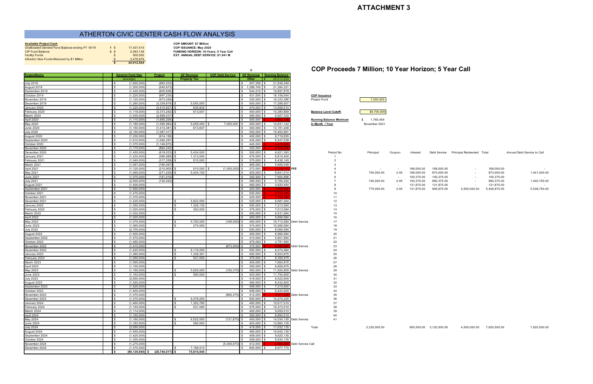| <b>Available Project Cash</b>                    |                 |            |
|--------------------------------------------------|-----------------|------------|
| Unallocated General Fund Balance-ending FY 18/19 | $1 \text{ }$ \$ | 17.437.410 |
| <b>CIP Fund Balance</b>                          | 2 <sup>5</sup>  | 2.593.138  |
| <b>Facility Funds</b>                            |                 | 505,000    |
| Atherton Now Funds-Reduced by \$1 Million        | $\mathfrak{F}$  | 3.476.976  |
|                                                  |                 | 24,012,524 |

**Available Project COP AMOUNT: \$7 Million**<br>**COP ISSUANCE: May 202** Unallocated General Fund Balance-ending FY 18/19 **1** \$ 17,437,410 **COP ISSUANCE: May 2020 COLOGYTY FUNDING HORIZON: 10-Years; 5 Year Call**<br> **EST. ANNUAL DEBT SERVICE: \$1.041 M EST. ANNUAL DEBT SERVICE: \$1.041 M** 

# **<sup>5</sup> COP Proceeds 7 Million; 10 Year Horizon; 5 Year Call**

| <b>Expenditures</b>           | <b>General Fund Ops</b>              | Project                  | <b>GF Revenue</b>   | <b>COP Debt Service   GF Revenue   Running Balance</b> |                    |                         |                                |               |        |            |                         |                                       |                           |                             |
|-------------------------------|--------------------------------------|--------------------------|---------------------|--------------------------------------------------------|--------------------|-------------------------|--------------------------------|---------------|--------|------------|-------------------------|---------------------------------------|---------------------------|-----------------------------|
|                               | (average)                            |                          | <b>Property Tax</b> |                                                        | Other              | 24,012,524              |                                |               |        |            |                         |                                       |                           |                             |
| <b>July 2019</b>              | (1,650,000)                          | (983.533                 |                     |                                                        | 457.258            | 21,836,249              |                                |               |        |            |                         |                                       |                           |                             |
| August 2019                   | (1, 200, 000)                        | (540, 673)               |                     |                                                        | \$1,288,745        | 21,384,321              |                                |               |        |            |                         |                                       |                           |                             |
| September 2019                | (1,425,000)<br>I \$                  | (605, 658)               |                     |                                                        | 544,216            | 19,897,879              |                                |               |        |            |                         |                                       |                           |                             |
| October 2019                  | (1,225,000)                          | (997,235                 |                     |                                                        | 431,000            | 18,106,644              | <b>COP Issuance</b>            |               |        |            |                         |                                       |                           |                             |
| November 2019                 | (1, 125, 000)                        | (973, 258)               |                     |                                                        | 325,000            | 16.333.386              | Project Fund                   | 7,000,000     |        |            |                         |                                       |                           |                             |
| December 2019                 | (1, 260, 000)                        | (3.339.879)              | 5,055,000           |                                                        | 500,000            | 17,288,507              |                                |               |        |            |                         |                                       |                           |                             |
| January 2020                  | (1,220,000)                          | (3, 515, 827)            | 835,834             |                                                        | 470,000            | 13,858,514              |                                |               |        |            |                         |                                       |                           |                             |
| February 2020                 | (1, 118, 000)<br>IS.                 | (3,373,292)              | 613,647             |                                                        | 400,000            | 10.380.869              | <b>Balance Level Cutoff:</b>   | \$4,700,000   |        |            |                         |                                       |                           |                             |
| March 2020                    | (1,035,000)                          | (2,898,537)              |                     |                                                        | 480,000            | 6,927,332               |                                |               |        |            |                         |                                       |                           |                             |
| April 2020                    | (1.110.000                           | (1.665.206               |                     |                                                        | 500,000            |                         | <b>Running Balance Minimum</b> | \$ 1,765,454  |        |            |                         |                                       |                           |                             |
| May 2020                      | (1.185.000)                          | (1.090.984)              | 5,055,000           | 7.000.000                                              | 400,000            | 14,831,142              | In Month / Year                | November 2021 |        |            |                         |                                       |                           |                             |
| June 2020                     | (1, 150, 000)                        | (1, 413, 381)            | 613,647             |                                                        | 300,000            | 13,181,408              |                                |               |        |            |                         |                                       |                           |                             |
| <b>July 2020</b>              | (2, 150, 000)<br>I \$<br>(1,230,000) | (1.067.417<br>(914, 156) |                     |                                                        | 500,000<br>400,000 | 10.463.991<br>8,719,835 |                                |               |        |            |                         |                                       |                           |                             |
| August 2020<br>September 2020 | (1.510.000                           | (1,092,297)              |                     |                                                        | 430,000            | 6,547,538               |                                |               |        |            |                         |                                       |                           |                             |
| October 2020                  | (1,375,000)                          | (1.146.870               |                     |                                                        | 445.000            | 4.470.6                 |                                |               |        |            |                         |                                       |                           |                             |
| November 2020                 | (1, 175, 000)                        | (864, 242)               |                     |                                                        | 325,000            |                         |                                |               |        |            |                         |                                       |                           |                             |
| December 2020                 | (1,450,000)<br>IS.                   | (619, 033)               | 5,434,000           |                                                        | 500,000            | 6,621,393               | Period No.                     | Principal     | Coupon | Interest   |                         | Debt Service Principal Redeemed Total |                           | Annual Debt Service to Call |
| January 2021                  | (1,232,000)                          | (366, 989)               | 1,313,000           |                                                        | 475,000            | 6,810,404               |                                |               |        |            |                         |                                       |                           |                             |
| February 2021                 | $\mathbb{R}$<br>(1.040.000           | (317.259)                | 610,000             |                                                        | 375,000            | 6.438.145               |                                |               |        |            |                         |                                       |                           |                             |
| March 2021                    | (1,057,000)                          | (180.097                 |                     |                                                        | 465,000            | 5,666,048               |                                |               |        |            |                         |                                       |                           |                             |
| April 2021                    | (1,120,000)                          | (210, 905)               | 610,000             | (1,000,000)                                            | 373,000            | 4.318.14                | <b>FFE</b>                     |               | $\sim$ | 168,000.00 | 168,000.00              | $\sim$                                | 168,000.00                |                             |
| May 2021                      | (1.065.000)<br>IS.                   | (271, 229)               | 5,434,100           |                                                        | 425,000            | 8,841,014               |                                | 705,000.00    | 0.05   | 168,000.00 | 873,000.00              |                                       | 873,000.00                | 1,041,000.00                |
| June 2021                     | (1,075,000)                          | (161, 618)               |                     |                                                        | 300,500            | 7,904,896               |                                |               | $\sim$ | 150,375.00 | 150,375.00              | $\sim$                                | 150,375.00                |                             |
| <b>July 2021</b>              | (2,500,000)                          | (134, 442)               |                     |                                                        | 490.000            | 5,760,454               |                                | 740,000.00    | 0.05   | 150,375.00 | 890,375.00              |                                       | 890,375.00                | 1,040,750.00                |
| August 2021                   | $\mathbb{S}$<br>(1.400.000)          |                          |                     |                                                        | 460.000            | 4,820,454               |                                | $\sim$        | $\sim$ | 131,875.00 | 131,875.00              | $\sim$                                | 131,875.00                | $\sim 100$                  |
| September 2021                | $\mathbf{R}$<br>(1,550,000)          |                          |                     |                                                        | 420,000            | 3.690 <sub>A</sub>      |                                | 775,000.00    | 0.05   | 131,875.00 | 906,875.00              | 4,500,000.00                          | 5,406,875.00              | 5,538,750.00                |
| October 2021                  | (1,475,000)<br>I \$                  |                          |                     |                                                        | 500,000            | $-2.715.45$             | 10                             |               |        |            |                         |                                       |                           |                             |
| November 2021                 | (1,375,000)                          |                          |                     |                                                        | 425,000            | -1-76:                  | 11                             |               |        |            |                         |                                       |                           |                             |
| December 2021                 | (1,425,000)<br>$\sim$                |                          | 5,822,000<br>. ድ    |                                                        | 525,000            | 6,687,454               | 12                             |               |        |            |                         |                                       |                           |                             |
| January 2022                  | (1,350,000)                          |                          | 1,326,130           |                                                        | 550,000            | 7,213,584               | 13                             |               |        |            |                         |                                       |                           |                             |
| February 2022                 | (1,025,000)<br>IS.                   |                          | 450,000             |                                                        | 375,000            | 7,013,584               | 14                             |               |        |            |                         |                                       |                           |                             |
| March 2022<br>April 2022      | (1,032,000)<br>(1,025,000)           |                          |                     |                                                        | 450,000<br>400,000 | 6,431,584<br>5,806,584  | 15<br>16                       |               |        |            |                         |                                       |                           |                             |
| May 2022                      | (1,075,000)                          |                          | 5,700,000           | (168,000)                                              | 450,000            |                         | 10,713,584 Debt Service<br>17  |               |        |            |                         |                                       |                           |                             |
| <b>June 2022</b>              | $\mathbf{s}$<br>(1.095.000           |                          | 274.000             |                                                        | 374.000            | 10.266.584              | 18                             |               |        |            |                         |                                       |                           |                             |
| <b>July 2022</b>              | (2,700,000)                          |                          |                     |                                                        | 500,000            | 8,066,584               | 19                             |               |        |            |                         |                                       |                           |                             |
| August 2022                   | (1,500,000)<br>I \$                  |                          |                     |                                                        | 400,000            | 6,966,584               | 20                             |               |        |            |                         |                                       |                           |                             |
| September 2022                | (1,575,000)                          |                          |                     |                                                        | 410,000            | 5,801,584               | 21                             |               |        |            |                         |                                       |                           |                             |
| October 2022                  | (1.485.000)                          |                          |                     |                                                        | 475,000            | 4,791,584               | 22                             |               |        |            |                         |                                       |                           |                             |
| November 2022                 | (1.410.000)                          |                          |                     | (873,000)                                              | 375,000            | 2.883                   | Debt Service<br>23             |               |        |            |                         |                                       |                           |                             |
| December 2022                 | (1,425,000)                          |                          | 6,116,000           |                                                        | 500,000            | 8,074,584               | 24                             |               |        |            |                         |                                       |                           |                             |
| January 2023                  | (1,360,000)<br>IS.                   |                          | 1,339,391<br>I \$   |                                                        | 450,000            | 8,503,975               | 25                             |               |        |            |                         |                                       |                           |                             |
| February 2023                 | (1,050,000                           |                          | - \$<br>531,000     |                                                        | 375,000            | 8,359,975               | 26                             |               |        |            |                         |                                       |                           |                             |
| March 2023                    | (1,095,000)<br>$\mathbf{R}$          |                          |                     |                                                        | 400,000            | 7,664,975               | 27                             |               |        |            |                         |                                       |                           |                             |
| April 2023                    | $\mathbb{R}$<br>(1, 155, 000)        |                          |                     |                                                        | 350,000            | 6,859,975               | 28                             |               |        |            |                         |                                       |                           |                             |
| May 2023                      | (1,160,000)                          |                          | 5,925,000           | (150, 375)                                             | 450,000            |                         | 11,924,600 Debt Service<br>29  |               |        |            |                         |                                       |                           |                             |
| June 2023                     | (1, 163, 000)<br>I \$                |                          | 590,000<br>- S      |                                                        | 403,000            | 11,754,600              | 30                             |               |        |            |                         |                                       |                           |                             |
| <b>July 2023</b>              | (2,650,000)<br>l SS<br>(1.550.000)   |                          |                     |                                                        | 418,000<br>460.000 | 9,522,600               | 31                             |               |        |            |                         |                                       |                           |                             |
| August 2023<br>September 2023 | (1,525,000)<br>$\mathbf{s}$          |                          |                     |                                                        | 408,000 \$         | 8,432,600<br>7,315,600  | 32<br>33                       |               |        |            |                         |                                       |                           |                             |
| October 2023                  | (1,400,000)                          |                          |                     |                                                        | 509,000 \$         | 6,424,600               | 34                             |               |        |            |                         |                                       |                           |                             |
| November 2023                 | (1,375,000)                          |                          |                     | (890, 375)                                             | 412,000            | $-4.571.2$              | 35<br>Debt Service             |               |        |            |                         |                                       |                           |                             |
| December 2023                 | (1,375,000)                          |                          | 6,478,000<br>IS.    |                                                        | 600,000            | 10,274,225              | 36                             |               |        |            |                         |                                       |                           |                             |
| January 2024                  | (1.460.000)                          |                          | 1,352,785<br>. ድ    |                                                        | 450,000            | 10,617,010              | 37                             |               |        |            |                         |                                       |                           |                             |
| February 2024                 | (1, 150, 000)                        |                          | 531,000             |                                                        | 375,000            | 10,373,010              | 38                             |               |        |            |                         |                                       |                           |                             |
| March 2024                    | (1, 114, 000)                        |                          |                     |                                                        | 400,000            | 9,659,010               | 39                             |               |        |            |                         |                                       |                           |                             |
| April 2024                    | (1, 155, 000)                        |                          |                     |                                                        | 350,000            | 8,854,010               | 40                             |               |        |            |                         |                                       |                           |                             |
| May 2024                      | (1,160,000)                          |                          | 6,022,000           | (131, 875)                                             | 450,000            |                         | 14,034,135 Debt Service<br>41  |               |        |            |                         |                                       |                           |                             |
| June 2024                     | (1.163.000)                          |                          | 590,000             |                                                        | 403,000            | 13,864,135              |                                |               |        |            |                         |                                       |                           |                             |
| July 2024                     | (2.650.000)                          |                          |                     |                                                        | 418,000            | 11.632.135              | Total                          | 2,220,000.00  |        |            | 900,500.00 3,120,500.00 |                                       | 4,500,000.00 7,620,500.00 | 7,620,500.00                |
| August 2024                   | $\mathbf{R}$<br>(1,450,000)          |                          |                     |                                                        | 460,000            | 10,642,135              |                                |               |        |            |                         |                                       |                           |                             |
| September 2024                | (1,425,000)<br>I \$                  |                          |                     |                                                        | 408,000            | 9,625,135               |                                |               |        |            |                         |                                       |                           |                             |
| October 2024                  | $\sqrt{3}$<br>(1,300,000)            |                          |                     |                                                        | 509,000            | 8,834,135               |                                |               |        |            |                         |                                       |                           |                             |
| November 2024                 | l \$<br>(1, 275, 000)                |                          |                     | $(5,406,875)$ \$                                       | 412,000            |                         | Debt Service Call              |               |        |            |                         |                                       |                           |                             |

December 2024 \$ (1,375,000) \$ 7,188,510 \$ 600,000 \$ 8,977,770 **\$ (90,139,000) \$ (28,744,017) \$ 75,810,044**

# ATHERTON CIVIC CENTER CASH FLOW ANALYSIS

# **ATTACHMENT 3**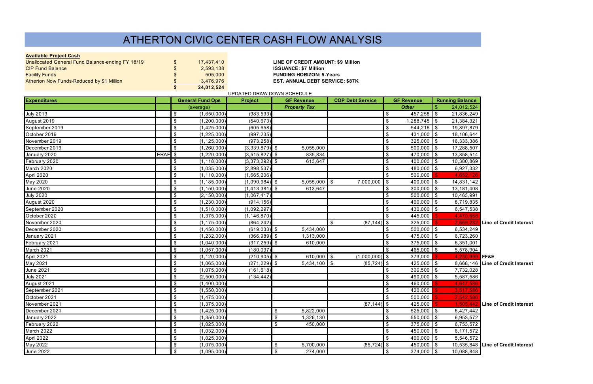# **Available Project Cash**

| Atherton Now Funds-Reduced by \$1 Million        | $\mathfrak{L}$<br>\$ | 3.476.976<br>24,012,524 |
|--------------------------------------------------|----------------------|-------------------------|
|                                                  |                      |                         |
| <b>Facility Funds</b>                            | \$                   | 505,000                 |
| <b>CIP Fund Balance</b>                          | \$                   | 2,593,138               |
| Unallocated General Fund Balance-ending FY 18/19 | \$                   | 17,437,410              |
|                                                  |                      |                         |

**LINE OF CREDIT AMOUNT: \$9 Million ISSUANCE: \$7 Million FUNDING HORIZON: 5-Years EST. ANNUAL DEBT SERVICE: \$87K** 

| UPDATED DRAW DOWN SCHEDULE |             |                                            |                    |                                        |                                           |                                            |                             |                                    |  |  |  |  |
|----------------------------|-------------|--------------------------------------------|--------------------|----------------------------------------|-------------------------------------------|--------------------------------------------|-----------------------------|------------------------------------|--|--|--|--|
| <b>Expenditures</b>        |             | <b>General Fund Ops</b>                    | <b>Project</b>     | <b>GF Revenue</b>                      | <b>COP Debt Service</b>                   | <b>GF</b> Revenue                          | <b>Running Balance</b>      |                                    |  |  |  |  |
|                            |             | (average)                                  |                    | <b>Property Tax</b>                    |                                           | <b>Other</b>                               | 24,012,524<br>$\sqrt[6]{3}$ |                                    |  |  |  |  |
| <b>July 2019</b>           |             | (1,650,000)<br>$\boldsymbol{\mathsf{S}}$   | (983, 533)         |                                        |                                           | $457,258$ \$<br>\$                         | 21,836,249                  |                                    |  |  |  |  |
| August 2019                |             | $\boldsymbol{\mathsf{S}}$<br>(1, 200, 000) | (540, 673)         |                                        |                                           | $1,288,745$ \$<br>\$                       | 21,384,321                  |                                    |  |  |  |  |
| September 2019             |             | $\boldsymbol{\mathsf{S}}$<br>(1,425,000)   | (605, 658)         |                                        |                                           | $544,216$ \$<br>$\sqrt[6]{2}$              | 19,897,879                  |                                    |  |  |  |  |
| October 2019               |             | \$<br>(1, 225, 000)                        | (997, 235)         |                                        |                                           | 431,000 \$<br>\$                           | 18,106,644                  |                                    |  |  |  |  |
| November 2019              |             | $\sqrt[6]{\frac{1}{2}}$<br>(1, 125, 000)   | (973, 258)         |                                        |                                           | $325,000$ \$<br>\$                         | 16,333,386                  |                                    |  |  |  |  |
| December 2019              |             | $\sqrt[6]{2}$<br>(1,260,000)               | $(3,339,879)$ \$   | 5,055,000                              |                                           | $500,000$ \$<br>$\sqrt[6]{2}$              | 17,288,507                  |                                    |  |  |  |  |
| January 2020               | <b>ERAF</b> | \$<br>(1, 220, 000)                        | $(3,515,827)$ \$   | 835,834                                |                                           | 470,000 \$<br>\$                           | 13,858,514                  |                                    |  |  |  |  |
| February 2020              |             | \$<br>(1, 118, 000)                        | $(3,373,292)$ \$   | 613,647                                |                                           | 400,000 \$<br>$\sqrt[6]{2}$                | 10,380,869                  |                                    |  |  |  |  |
| March 2020                 |             | $\boldsymbol{\mathsf{S}}$<br>(1,035,000)   | (2,898,537)        |                                        |                                           | 480,000 \$<br>$\sqrt[6]{2}$                | 6,927,332                   |                                    |  |  |  |  |
| April 2020                 |             | \$<br>(1, 110, 000)                        | (1,665,206)        |                                        |                                           | $\mathfrak{S}$<br>500,000                  | 4,652,126                   |                                    |  |  |  |  |
| May 2020                   |             | $\boldsymbol{\mathsf{S}}$<br>(1, 185, 000) | $(1,090,984)$ \$   | $5,055,000$ \$                         | $7,000,000$ \$                            | 400,000 \$                                 | 14,831,142                  |                                    |  |  |  |  |
| <b>June 2020</b>           |             | $\boldsymbol{\mathsf{S}}$<br>(1, 150, 000) | $(1, 413, 381)$ \$ | 613,647                                |                                           | $300,000$ \$<br>$\sqrt[6]{2}$              | 13,181,408                  |                                    |  |  |  |  |
| <b>July 2020</b>           |             | \$<br>(2, 150, 000)                        | (1,067,417)        |                                        |                                           | $500,000$ \$<br>\$                         | 10,463,991                  |                                    |  |  |  |  |
| August 2020                |             | $\boldsymbol{\mathsf{S}}$<br>(1,230,000)   | (914, 156)         |                                        |                                           | 400,000 \$<br>$\sqrt[6]{2}$                | 8,719,835                   |                                    |  |  |  |  |
| September 2020             |             | $\boldsymbol{\mathsf{S}}$<br>(1,510,000)   | (1,092,297)        |                                        |                                           | $430,000$ \$<br>$\sqrt[6]{2}$              | 6,547,538                   |                                    |  |  |  |  |
| October 2020               |             | \$<br>(1,375,000)                          | (1, 146, 870)      |                                        |                                           | $\mathfrak{S}$<br>445,000                  | 4,470,668                   |                                    |  |  |  |  |
| November 2020              |             | $\sqrt[6]{\frac{1}{2}}$<br>(1, 175, 000)   | (864, 242)         |                                        | $\sqrt[6]{\frac{1}{2}}$<br>$(87, 144)$ \$ | 325,000                                    | 2,669,282                   | <b>Line of Credit Interest</b>     |  |  |  |  |
| December 2020              |             | $\boldsymbol{\mathsf{S}}$<br>(1,450,000)   | $(619, 033)$ \$    | 5,434,000                              |                                           | $500,000$ \$<br>$\boldsymbol{\mathsf{\$}}$ | 6,534,249                   |                                    |  |  |  |  |
| January 2021               |             | \$<br>(1,232,000)                          | $(366,989)$ \$     | 1,313,000                              |                                           | 475,000 \$<br>\$                           | 6,723,260                   |                                    |  |  |  |  |
| February 2021              |             | $\boldsymbol{\mathsf{S}}$<br>(1,040,000)   | $(317, 259)$ \$    | 610,000                                |                                           | 375,000 \$<br>$\sqrt[6]{2}$                | 6,351,001                   |                                    |  |  |  |  |
| March 2021                 |             | $\sqrt[6]{2}$<br>(1,057,000)               | (180, 097)         |                                        |                                           | 465,000 \$<br>\$                           | 5,578,904                   |                                    |  |  |  |  |
| April 2021                 |             | \$<br>(1, 120, 000)                        | $(210, 905)$ \$    | 610,000 $\sqrt{$}$                     | $(1,000,000)$ \$                          | 373,000                                    | 4,230,999                   | FF&E                               |  |  |  |  |
| May 2021                   |             | \$<br>(1,065,000)                          | $(271, 229)$ \$    | $5,434,100$ \$                         | $(85, 724)$ \$                            | $425,000$ \$                               |                             | 8,668,146 Line of Credit Interest  |  |  |  |  |
| <b>June 2021</b>           |             | $\boldsymbol{\mathsf{S}}$<br>(1,075,000)   | (161, 618)         |                                        |                                           | $300,500$ \$<br>$\boldsymbol{\mathsf{\$}}$ | 7,732,028                   |                                    |  |  |  |  |
| <b>July 2021</b>           |             | \$<br>(2,500,000)                          | (134, 442)         |                                        |                                           | 490,000 \$<br>\$                           | 5,587,586                   |                                    |  |  |  |  |
| August 2021                |             | $\boldsymbol{\mathsf{S}}$<br>(1,400,000)   |                    |                                        |                                           | 460,000<br>\$                              | 4,647,586                   |                                    |  |  |  |  |
| September 2021             |             | $\sqrt[6]{2}$<br>(1,550,000)               |                    |                                        |                                           | 420,000<br>$\sqrt[6]{2}$                   | 3,517,586                   |                                    |  |  |  |  |
| October 2021               |             | $\boldsymbol{\mathsf{S}}$<br>(1,475,000)   |                    |                                        |                                           | \$<br>500,000                              | 2,542,586                   |                                    |  |  |  |  |
| November 2021              |             | $\boldsymbol{\mathsf{S}}$<br>(1,375,000)   |                    |                                        | $(87, 144)$ \$                            | 425,000                                    |                             | 1,505,442 Line of Credit Interest  |  |  |  |  |
| December 2021              |             | $\boldsymbol{\mathsf{\$}}$<br>(1,425,000)  |                    | $\sqrt[6]{3}$<br>5,822,000             |                                           | $\sqrt{3}$<br>$525,000$ \$                 | 6,427,442                   |                                    |  |  |  |  |
| January 2022               |             | $\sqrt[6]{2}$<br>(1,350,000)               |                    | $\boldsymbol{\mathsf{S}}$<br>1,326,130 |                                           | $550,000$ \$<br>$\sqrt{2}$                 | 6,953,572                   |                                    |  |  |  |  |
| February 2022              |             | $\boldsymbol{\mathsf{S}}$<br>(1,025,000)   |                    | \$<br>450,000                          |                                           | $375,000$ \$<br>$\sqrt[6]{2}$              | 6,753,572                   |                                    |  |  |  |  |
| March 2022                 |             | $\boldsymbol{\mathsf{S}}$<br>(1,032,000)   |                    |                                        |                                           | $450,000$ \$<br>$\sqrt[6]{2}$              | 6,171,572                   |                                    |  |  |  |  |
| April 2022                 |             | $\sqrt[6]{\frac{1}{2}}$<br>(1,025,000)     |                    |                                        |                                           | $400,000$ \$<br>\$                         | 5,546,572                   |                                    |  |  |  |  |
| May 2022                   |             | $\boldsymbol{\mathsf{S}}$<br>(1,075,000)   |                    | 5,700,000<br>- \$                      | $(85, 724)$ \$                            | 450,000 \$                                 |                             | 10,535,848 Line of Credit Interest |  |  |  |  |
| <b>June 2022</b>           |             | $\boldsymbol{\mathsf{S}}$<br>(1,095,000)   |                    | 274,000<br>$\sqrt[6]{3}$               |                                           | $374,000$ \$<br>$\sqrt[6]{\frac{1}{2}}$    | 10,088,848                  |                                    |  |  |  |  |

# ATHERTON CIVIC CENTER CASH FLOW ANALYSIS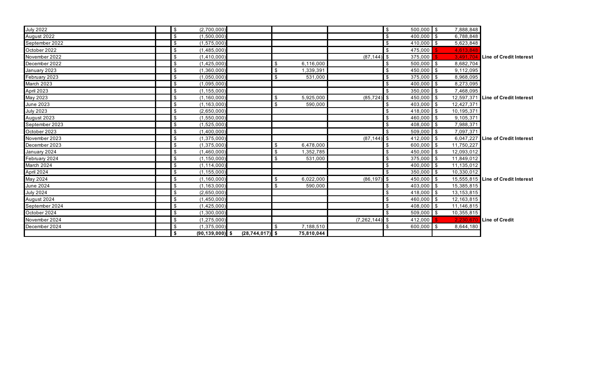| <b>July 2022</b>  | $\boldsymbol{\mathsf{S}}$ | (2,700,000)         |                     |                |            |                  | $\sqrt[6]{3}$              | $500,000$ \$       | 7,888,848  |                                    |
|-------------------|---------------------------|---------------------|---------------------|----------------|------------|------------------|----------------------------|--------------------|------------|------------------------------------|
| August 2022       | $\sqrt[6]{\frac{1}{2}}$   | (1,500,000)         |                     |                |            |                  | $$^{\circ}$                | $400,000$ \$       | 6,788,848  |                                    |
| September 2022    | $\boldsymbol{\mathsf{S}}$ | (1, 575, 000)       |                     |                |            |                  | \$                         | $410,000$ \$       | 5,623,848  |                                    |
| October 2022      | \$                        | (1,485,000)         |                     |                |            |                  | \$                         | 475,000            | 4,613,848  |                                    |
| November 2022     | $\sqrt[6]{\frac{1}{2}}$   | (1,410,000)         |                     |                |            | $(87, 144)$ \$   |                            | 375,000            | 3,491,704  | Line of Credit Interest            |
| December 2022     | $\sqrt[6]{\frac{1}{2}}$   | (1,425,000)         |                     | $\mathbb{S}$   | 6,116,000  |                  |                            | $500,000$ \$       | 8,682,704  |                                    |
| January 2023      | $\boldsymbol{\mathsf{S}}$ | (1,360,000)         |                     | $\mathfrak{S}$ | 1,339,391  |                  | \$                         | $450,000$ \$       | 9,112,095  |                                    |
| February 2023     | $\boldsymbol{\mathsf{S}}$ | (1,050,000)         |                     | $\frac{1}{2}$  | 531,000    |                  | \$                         | $375,000$ \$       | 8,968,095  |                                    |
| <b>March 2023</b> | $\boldsymbol{\mathsf{S}}$ | (1,095,000)         |                     |                |            |                  | -\$                        | $400,000$ \$       | 8,273,095  |                                    |
| <b>April 2023</b> | \$                        | (1, 155, 000)       |                     |                |            |                  | \$                         | $350,000$ \$       | 7,468,095  |                                    |
| May 2023          | $\boldsymbol{\mathsf{S}}$ | (1, 160, 000)       |                     | $\mathbb{S}$   | 5,925,000  | $(85, 724)$ \$   |                            | 450,000 \$         |            | 12,597,371 Line of Credit Interest |
| June 2023         | $\boldsymbol{\mathsf{S}}$ | (1, 163, 000)       |                     | $\mathfrak{S}$ | 590,000    |                  | \$                         | $403,000$ \$       | 12,427,371 |                                    |
| <b>July 2023</b>  | $\boldsymbol{\mathsf{S}}$ | (2,650,000)         |                     |                |            |                  | \$                         | 418,000 \$         | 10,195,371 |                                    |
| August 2023       | $\boldsymbol{\mathsf{S}}$ | (1,550,000)         |                     |                |            |                  | \$                         | $460,000$ \$       | 9,105,371  |                                    |
| September 2023    | $\sqrt[6]{\frac{1}{2}}$   | (1,525,000)         |                     |                |            |                  | \$                         | 408,000 \$         | 7,988,371  |                                    |
| October 2023      | $\boldsymbol{\mathsf{S}}$ | (1,400,000)         |                     |                |            |                  | $\boldsymbol{\mathsf{\$}}$ | $509,000$ \$       | 7,097,371  |                                    |
| November 2023     | $\boldsymbol{\mathsf{S}}$ | (1, 375, 000)       |                     |                |            | $(87, 144)$ \$   |                            | $412,000$ \$       |            | 6,047,227 Line of Credit Interest  |
| December 2023     | $\mathfrak{S}$            | (1,375,000)         |                     | \$             | 6,478,000  |                  | \$                         | $600,000$ \$       | 11,750,227 |                                    |
| January 2024      | \$                        | (1,460,000)         |                     | \$             | 1,352,785  |                  | \$                         | 450,000 \$         | 12,093,012 |                                    |
| February 2024     | $\boldsymbol{\mathsf{S}}$ | (1, 150, 000)       |                     | $\mathfrak{S}$ | 531,000    |                  | \$                         | $375,000$ \$       | 11,849,012 |                                    |
| March 2024        | $\boldsymbol{\mathsf{S}}$ | (1, 114, 000)       |                     |                |            |                  | $\sqrt[6]{\frac{1}{2}}$    | $400,000$ \$       | 11,135,012 |                                    |
| April 2024        | $\boldsymbol{\mathsf{S}}$ | (1, 155, 000)       |                     |                |            |                  | \$                         | $350,000$ \$       | 10,330,012 |                                    |
| May 2024          | $\sqrt[6]{\frac{1}{2}}$   | (1, 160, 000)       |                     | \$             | 6,022,000  | $(86, 197)$ \$   |                            | 450,000 \$         |            | 15,555,815 Line of Credit Interest |
| <b>June 2024</b>  | \$                        | (1, 163, 000)       |                     | \$             | 590,000    |                  | - \$                       | 403,000 \$         | 15,385,815 |                                    |
| <b>July 2024</b>  | \$                        | (2,650,000)         |                     |                |            |                  | \$                         | 418,000 $\sqrt{$}$ | 13,153,815 |                                    |
| August 2024       | $\boldsymbol{\mathsf{S}}$ | (1,450,000)         |                     |                |            |                  | \$                         | $460,000$ \$       | 12,163,815 |                                    |
| September 2024    | $\boldsymbol{\mathsf{S}}$ | (1,425,000)         |                     |                |            |                  | \$                         | 408,000 \$         | 11,146,815 |                                    |
| October 2024      | $\boldsymbol{\mathsf{S}}$ | (1,300,000)         |                     |                |            |                  | -\$                        | $509,000$ \$       | 10,355,815 |                                    |
| November 2024     | $\sqrt[6]{\frac{1}{2}}$   | (1, 275, 000)       |                     |                |            | $(7,262,144)$ \$ |                            | 412,000            | 2,230,670  | Line of Credit                     |
| December 2024     | $\boldsymbol{\mathsf{S}}$ | (1, 375, 000)       |                     | \$             | 7,188,510  |                  | \$                         | $600,000$ \$       | 8,644,180  |                                    |
|                   | \$                        | $(90, 139, 000)$ \$ | $(28, 744, 017)$ \$ |                | 75,810,044 |                  |                            |                    |            |                                    |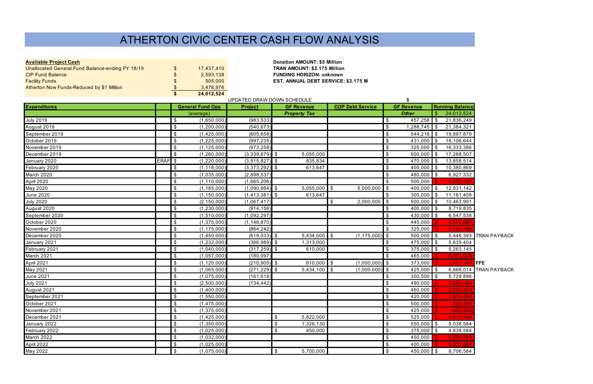| <b>Available Project Cash</b>                    |                           |            |
|--------------------------------------------------|---------------------------|------------|
| Unallocated General Fund Balance-ending FY 18/19 | \$                        | 17,437,410 |
| <b>CIP Fund Balance</b>                          | $\boldsymbol{\mathsf{s}}$ | 2,593,138  |
| <b>Facility Funds</b>                            | $\mathfrak{L}$            | 505,000    |
| Atherton Now Funds-Reduced by \$1 Million        | \$.                       | 3,476,976  |
|                                                  | S                         | 24,012,524 |

**Available Project Cash Donation AMOUNT: \$5 Million**<br>TRAN AMOUNT: \$2.175 Million **TRAN AMOUNT: \$2.175 Million** CIP Fund Balance \$ 2,593,138 **FUNDING HORIZON: unknown EST. ANNUAL DEBT SERVICE: \$2.175 M** 

| <b>Project</b><br><b>COP Debt Service</b><br><b>GF Revenue</b><br><b>Running Balance</b><br><b>General Fund Ops</b><br><b>GF Revenue</b><br><b>Expenditures</b><br>24,012,524<br>S<br><b>Property Tax</b><br><b>Other</b><br>(average)<br>(983, 533)<br>(1,650,000)<br>\$<br>$457,258$ \$<br><b>July 2019</b><br>\$<br>21,836,249<br>\$<br>(1,200,000)<br>(540, 673)<br>\$<br>$1,288,745$ \$<br>21,384,321<br>August 2019<br>(1,425,000)<br>$\sqrt[6]{3}$<br>$544,216$ \$<br>September 2019<br>\$<br>(605, 658)<br>19,897,879<br>$\sqrt[6]{3}$<br>\$<br>(1,225,000)<br>(997, 235)<br>$431,000$ \$<br>18,106,644<br>October 2019<br>(1, 125, 000)<br>\$<br>(973, 258)<br>\$<br>$325,000$ \$<br>16,333,386<br>November 2019<br>$\boldsymbol{\mathsf{S}}$<br>(1,260,000)<br>$(3,339,879)$ \$<br>$\sqrt[6]{3}$<br>$500,000$ \$<br>December 2019<br>5,055,000<br>17,288,507<br>ERAF <sup>S</sup><br>835,834<br>$\sqrt[6]{3}$<br>(1,220,000)<br>$(3,515,827)$ \$<br>470,000 \$<br>13,858,514<br>January 2020<br>\$<br>(1, 118, 000)<br>$(3,373,292)$ \$<br>\$<br>10,380,869<br>613,647<br>400,000 \$<br>February 2020<br>$\boldsymbol{\mathsf{\$}}$<br>$\sqrt[6]{3}$<br>March 2020<br>(1,035,000)<br>(2,898,537)<br>480,000 \$<br>6,927,332<br>$\sqrt[6]{3}$<br>$\boldsymbol{\mathsf{\$}}$<br>500,000<br>4,652,126<br>April 2020<br>(1, 110, 000)<br>(1,665,206)<br>(1, 185, 000)<br>$5,055,000$ \$<br>$5,000,000$ \$<br>May 2020<br>\$<br>$(1,090,984)$ \$<br>$400,000$ \$<br>12,831,142<br>(1, 150, 000)<br>$(1,413,381)$ \$<br>613,647<br>$300,000$ \$<br><b>June 2020</b><br>\$<br>\$<br>11,181,408 |  |
|---------------------------------------------------------------------------------------------------------------------------------------------------------------------------------------------------------------------------------------------------------------------------------------------------------------------------------------------------------------------------------------------------------------------------------------------------------------------------------------------------------------------------------------------------------------------------------------------------------------------------------------------------------------------------------------------------------------------------------------------------------------------------------------------------------------------------------------------------------------------------------------------------------------------------------------------------------------------------------------------------------------------------------------------------------------------------------------------------------------------------------------------------------------------------------------------------------------------------------------------------------------------------------------------------------------------------------------------------------------------------------------------------------------------------------------------------------------------------------------------------------------------------------------------------------------------------------------------------|--|
|                                                                                                                                                                                                                                                                                                                                                                                                                                                                                                                                                                                                                                                                                                                                                                                                                                                                                                                                                                                                                                                                                                                                                                                                                                                                                                                                                                                                                                                                                                                                                                                                   |  |
|                                                                                                                                                                                                                                                                                                                                                                                                                                                                                                                                                                                                                                                                                                                                                                                                                                                                                                                                                                                                                                                                                                                                                                                                                                                                                                                                                                                                                                                                                                                                                                                                   |  |
|                                                                                                                                                                                                                                                                                                                                                                                                                                                                                                                                                                                                                                                                                                                                                                                                                                                                                                                                                                                                                                                                                                                                                                                                                                                                                                                                                                                                                                                                                                                                                                                                   |  |
|                                                                                                                                                                                                                                                                                                                                                                                                                                                                                                                                                                                                                                                                                                                                                                                                                                                                                                                                                                                                                                                                                                                                                                                                                                                                                                                                                                                                                                                                                                                                                                                                   |  |
|                                                                                                                                                                                                                                                                                                                                                                                                                                                                                                                                                                                                                                                                                                                                                                                                                                                                                                                                                                                                                                                                                                                                                                                                                                                                                                                                                                                                                                                                                                                                                                                                   |  |
|                                                                                                                                                                                                                                                                                                                                                                                                                                                                                                                                                                                                                                                                                                                                                                                                                                                                                                                                                                                                                                                                                                                                                                                                                                                                                                                                                                                                                                                                                                                                                                                                   |  |
|                                                                                                                                                                                                                                                                                                                                                                                                                                                                                                                                                                                                                                                                                                                                                                                                                                                                                                                                                                                                                                                                                                                                                                                                                                                                                                                                                                                                                                                                                                                                                                                                   |  |
|                                                                                                                                                                                                                                                                                                                                                                                                                                                                                                                                                                                                                                                                                                                                                                                                                                                                                                                                                                                                                                                                                                                                                                                                                                                                                                                                                                                                                                                                                                                                                                                                   |  |
|                                                                                                                                                                                                                                                                                                                                                                                                                                                                                                                                                                                                                                                                                                                                                                                                                                                                                                                                                                                                                                                                                                                                                                                                                                                                                                                                                                                                                                                                                                                                                                                                   |  |
|                                                                                                                                                                                                                                                                                                                                                                                                                                                                                                                                                                                                                                                                                                                                                                                                                                                                                                                                                                                                                                                                                                                                                                                                                                                                                                                                                                                                                                                                                                                                                                                                   |  |
|                                                                                                                                                                                                                                                                                                                                                                                                                                                                                                                                                                                                                                                                                                                                                                                                                                                                                                                                                                                                                                                                                                                                                                                                                                                                                                                                                                                                                                                                                                                                                                                                   |  |
|                                                                                                                                                                                                                                                                                                                                                                                                                                                                                                                                                                                                                                                                                                                                                                                                                                                                                                                                                                                                                                                                                                                                                                                                                                                                                                                                                                                                                                                                                                                                                                                                   |  |
|                                                                                                                                                                                                                                                                                                                                                                                                                                                                                                                                                                                                                                                                                                                                                                                                                                                                                                                                                                                                                                                                                                                                                                                                                                                                                                                                                                                                                                                                                                                                                                                                   |  |
|                                                                                                                                                                                                                                                                                                                                                                                                                                                                                                                                                                                                                                                                                                                                                                                                                                                                                                                                                                                                                                                                                                                                                                                                                                                                                                                                                                                                                                                                                                                                                                                                   |  |
| $2,000,000$ \$<br>$\boldsymbol{\mathsf{S}}$<br>(2, 150, 000)<br>\$<br>$500,000$ \$<br><b>July 2020</b><br>(1,067,417)<br>10,463,991                                                                                                                                                                                                                                                                                                                                                                                                                                                                                                                                                                                                                                                                                                                                                                                                                                                                                                                                                                                                                                                                                                                                                                                                                                                                                                                                                                                                                                                               |  |
| (1, 230, 000)<br>(914, 156)<br>400,000 \$<br>8,719,835<br>August 2020<br>\$<br>\$                                                                                                                                                                                                                                                                                                                                                                                                                                                                                                                                                                                                                                                                                                                                                                                                                                                                                                                                                                                                                                                                                                                                                                                                                                                                                                                                                                                                                                                                                                                 |  |
| $\boldsymbol{\mathsf{\$}}$<br>\$<br>$430,000$ \$<br>(1,510,000)<br>(1,092,297)<br>6,547,538<br>September 2020                                                                                                                                                                                                                                                                                                                                                                                                                                                                                                                                                                                                                                                                                                                                                                                                                                                                                                                                                                                                                                                                                                                                                                                                                                                                                                                                                                                                                                                                                     |  |
| $\sqrt[6]{3}$<br>$\boldsymbol{\mathsf{\$}}$<br>(1,375,000)<br>(1, 146, 870)<br>445,000<br>October 2020<br>4,470,668                                                                                                                                                                                                                                                                                                                                                                                                                                                                                                                                                                                                                                                                                                                                                                                                                                                                                                                                                                                                                                                                                                                                                                                                                                                                                                                                                                                                                                                                               |  |
| \$<br>\$<br>(1, 175, 000)<br>(864, 242)<br>325,000<br>November 2020<br>2,756,426                                                                                                                                                                                                                                                                                                                                                                                                                                                                                                                                                                                                                                                                                                                                                                                                                                                                                                                                                                                                                                                                                                                                                                                                                                                                                                                                                                                                                                                                                                                  |  |
| $\boldsymbol{\mathsf{S}}$<br>(1,450,000)<br>$(619,033)$ \$<br>$5,434,000$ \$<br>$(1, 175, 000)$ \$<br>500,000 \$<br>December 2020<br>5,446,393 TRAN PAYBACK                                                                                                                                                                                                                                                                                                                                                                                                                                                                                                                                                                                                                                                                                                                                                                                                                                                                                                                                                                                                                                                                                                                                                                                                                                                                                                                                                                                                                                       |  |
| $(366,989)$ \$<br>$\boldsymbol{\mathsf{S}}$<br>(1,232,000)<br>1,313,000<br>475,000 \$<br>\$<br>5,635,404<br>January 2021                                                                                                                                                                                                                                                                                                                                                                                                                                                                                                                                                                                                                                                                                                                                                                                                                                                                                                                                                                                                                                                                                                                                                                                                                                                                                                                                                                                                                                                                          |  |
| $(317, 259)$ \$<br>\$<br>(1,040,000)<br>610,000<br>\$<br>375,000 \$<br>5,263,145<br>February 2021                                                                                                                                                                                                                                                                                                                                                                                                                                                                                                                                                                                                                                                                                                                                                                                                                                                                                                                                                                                                                                                                                                                                                                                                                                                                                                                                                                                                                                                                                                 |  |
| $\boldsymbol{\mathsf{S}}$<br>(1,057,000)<br>(180, 097)<br>\$<br>465,000<br>March 2021<br>4,491,048                                                                                                                                                                                                                                                                                                                                                                                                                                                                                                                                                                                                                                                                                                                                                                                                                                                                                                                                                                                                                                                                                                                                                                                                                                                                                                                                                                                                                                                                                                |  |
| $610,000$ \$<br>$\boldsymbol{\mathsf{\$}}$<br>$(210, 905)$ \$<br>$(1,000,000)$ \$<br>(1, 120, 000)<br>373,000<br>$3,143,143$ FFE<br>April 2021                                                                                                                                                                                                                                                                                                                                                                                                                                                                                                                                                                                                                                                                                                                                                                                                                                                                                                                                                                                                                                                                                                                                                                                                                                                                                                                                                                                                                                                    |  |
| $(271, 229)$ \$<br>$5,434,100$ \$<br>\$<br>(1,065,000)<br>$(1,000,000)$ \$<br>425,000 \$<br>6,666,014 TRAN PAYBACK<br>May 2021                                                                                                                                                                                                                                                                                                                                                                                                                                                                                                                                                                                                                                                                                                                                                                                                                                                                                                                                                                                                                                                                                                                                                                                                                                                                                                                                                                                                                                                                    |  |
| (1,075,000)<br>(161, 618)<br>$300,500$ \$<br><b>June 2021</b><br>\$<br>\$<br>5,729,896                                                                                                                                                                                                                                                                                                                                                                                                                                                                                                                                                                                                                                                                                                                                                                                                                                                                                                                                                                                                                                                                                                                                                                                                                                                                                                                                                                                                                                                                                                            |  |
| $\boldsymbol{\mathsf{\$}}$<br>$\sqrt[6]{3}$<br>(2,500,000)<br>(134, 442)<br>490,000<br>3,585,454<br><b>July 2021</b>                                                                                                                                                                                                                                                                                                                                                                                                                                                                                                                                                                                                                                                                                                                                                                                                                                                                                                                                                                                                                                                                                                                                                                                                                                                                                                                                                                                                                                                                              |  |
| \$<br>(1,400,000)<br>\$<br>460,000<br>August 2021<br>2,645,454                                                                                                                                                                                                                                                                                                                                                                                                                                                                                                                                                                                                                                                                                                                                                                                                                                                                                                                                                                                                                                                                                                                                                                                                                                                                                                                                                                                                                                                                                                                                    |  |
| $\boldsymbol{\mathsf{\$}}$<br>$\sqrt[6]{3}$<br>(1,550,000)<br>420,000<br>September 2021<br>1,515,454                                                                                                                                                                                                                                                                                                                                                                                                                                                                                                                                                                                                                                                                                                                                                                                                                                                                                                                                                                                                                                                                                                                                                                                                                                                                                                                                                                                                                                                                                              |  |
| \$<br>\$<br>(1,475,000)<br>500,000<br>540,454<br>October 2021                                                                                                                                                                                                                                                                                                                                                                                                                                                                                                                                                                                                                                                                                                                                                                                                                                                                                                                                                                                                                                                                                                                                                                                                                                                                                                                                                                                                                                                                                                                                     |  |
| $\sqrt[6]{2}$<br>\$<br>(1,375,000)<br>425,000<br>November 2021<br>(409, 546)                                                                                                                                                                                                                                                                                                                                                                                                                                                                                                                                                                                                                                                                                                                                                                                                                                                                                                                                                                                                                                                                                                                                                                                                                                                                                                                                                                                                                                                                                                                      |  |
| December 2021<br>\$<br>(1,425,000)<br>$\sqrt{3}$<br>5,822,000<br>$\sqrt{3}$<br>525,000<br>4,512,454                                                                                                                                                                                                                                                                                                                                                                                                                                                                                                                                                                                                                                                                                                                                                                                                                                                                                                                                                                                                                                                                                                                                                                                                                                                                                                                                                                                                                                                                                               |  |
| $\overline{\mathbf{e}}$<br>$\overline{\mathbf{3}}$<br>$550,000$ \$<br>$\boldsymbol{\mathsf{S}}$<br>1,326,130<br>(1,350,000)<br>5,038,584<br>January 2022                                                                                                                                                                                                                                                                                                                                                                                                                                                                                                                                                                                                                                                                                                                                                                                                                                                                                                                                                                                                                                                                                                                                                                                                                                                                                                                                                                                                                                          |  |
| $\boldsymbol{\mathsf{S}}$<br>$\boldsymbol{\mathsf{\$}}$<br>$\sqrt[6]{3}$<br>$375,000$ \$<br>(1,025,000)<br>450,000<br>4,838,584<br>February 2022                                                                                                                                                                                                                                                                                                                                                                                                                                                                                                                                                                                                                                                                                                                                                                                                                                                                                                                                                                                                                                                                                                                                                                                                                                                                                                                                                                                                                                                  |  |
| \$<br>$\boldsymbol{\mathsf{\$}}$<br>(1,032,000)<br>450,000<br>March 2022<br>4,256,584                                                                                                                                                                                                                                                                                                                                                                                                                                                                                                                                                                                                                                                                                                                                                                                                                                                                                                                                                                                                                                                                                                                                                                                                                                                                                                                                                                                                                                                                                                             |  |
| $\boldsymbol{\mathsf{S}}$<br>3,631,584<br>$\boldsymbol{\mathsf{\$}}$<br>(1,025,000)<br>400,000<br>April 2022                                                                                                                                                                                                                                                                                                                                                                                                                                                                                                                                                                                                                                                                                                                                                                                                                                                                                                                                                                                                                                                                                                                                                                                                                                                                                                                                                                                                                                                                                      |  |
| $\sqrt[3]{2}$<br>$\boldsymbol{\mathsf{S}}$<br>450,000 \$<br>(1,075,000)<br>$\sqrt{2}$<br>5,700,000<br>May 2022<br>8,706,584                                                                                                                                                                                                                                                                                                                                                                                                                                                                                                                                                                                                                                                                                                                                                                                                                                                                                                                                                                                                                                                                                                                                                                                                                                                                                                                                                                                                                                                                       |  |

# ATHERTON CIVIC CENTER CASH FLOW ANALYSIS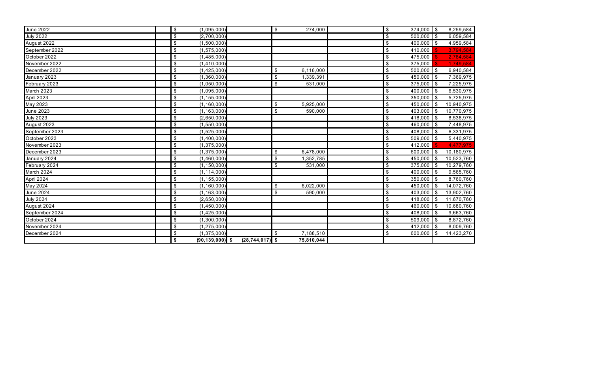| <b>June 2022</b>  | $\sqrt[6]{\frac{1}{2}}$<br>(1,095,000)     |                     | $\frac{1}{2}$<br>274,000             | $\boldsymbol{\mathsf{S}}$<br>374,000 \$   | 8,259,584  |
|-------------------|--------------------------------------------|---------------------|--------------------------------------|-------------------------------------------|------------|
| <b>July 2022</b>  | $\boldsymbol{\mathsf{S}}$<br>(2,700,000)   |                     |                                      | $\boldsymbol{\mathsf{S}}$<br>$500,000$ \$ | 6,059,584  |
| August 2022       | $\boldsymbol{\mathsf{S}}$<br>(1,500,000)   |                     |                                      | $\$\$<br>$400,000$ \$                     | 4,959,584  |
| September 2022    | $\boldsymbol{\mathsf{S}}$<br>(1, 575, 000) |                     |                                      | $\boldsymbol{\mathsf{S}}$<br>410,000      | 3,794,584  |
| October 2022      | $\boldsymbol{\mathsf{S}}$<br>(1,485,000)   |                     |                                      | $\boldsymbol{\mathsf{S}}$<br>475,000      | 2,784,584  |
| November 2022     | $\boldsymbol{\mathsf{S}}$<br>(1,410,000)   |                     |                                      | $\sqrt[6]{\frac{1}{2}}$<br>375,000        | 1,749,584  |
| December 2022     | $\$\$<br>(1,425,000)                       |                     | \$<br>6,116,000                      | $\sqrt[6]{\frac{1}{2}}$<br>$500,000$ \$   | 6,940,584  |
| January 2023      | $\boldsymbol{\mathsf{S}}$<br>(1,360,000)   |                     | $\mathfrak{S}$<br>1,339,391          | 450,000 \$<br>$\mathfrak{S}$              | 7,369,975  |
| February 2023     | $\sqrt[6]{\frac{1}{2}}$<br>(1,050,000)     |                     | $\mathfrak{S}$<br>531,000            | $\sqrt[6]{\frac{1}{2}}$<br>$375,000$ \$   | 7,225,975  |
| March 2023        | $\$\$<br>(1,095,000)                       |                     |                                      | $\sqrt[6]{\frac{1}{2}}$<br>$400,000$ \$   | 6,530,975  |
| <b>April 2023</b> | $\boldsymbol{\mathsf{S}}$<br>(1, 155, 000) |                     |                                      | $\boldsymbol{\mathsf{S}}$<br>$350,000$ \$ | 5,725,975  |
| May 2023          | $\sqrt[6]{\frac{1}{2}}$<br>(1, 160, 000)   |                     | $\$\$<br>5,925,000                   | $\overline{\mathbf{S}}$<br>$450,000$ \$   | 10,940,975 |
| <b>June 2023</b>  | $\sqrt[6]{\frac{1}{2}}$<br>(1, 163, 000)   |                     | $\mathfrak{S}$<br>590,000            | $\mathfrak{S}$<br>403,000 \$              | 10,770,975 |
| <b>July 2023</b>  | $\boldsymbol{\mathsf{S}}$<br>(2,650,000)   |                     |                                      | $\mathfrak{S}$<br>418,000 \$              | 8,538,975  |
| August 2023       | $\sqrt[6]{\frac{1}{2}}$<br>(1,550,000)     |                     |                                      | $\mathfrak{S}$<br>460,000 \$              | 7,448,975  |
| September 2023    | $\sqrt[6]{\frac{1}{2}}$<br>(1,525,000)     |                     |                                      | $\mathfrak{S}$<br>$408,000$ \$            | 6,331,975  |
| October 2023      | $\boldsymbol{\mathsf{S}}$<br>(1,400,000)   |                     |                                      | $\sqrt[6]{\frac{1}{2}}$<br>$509,000$ \$   | 5,440,975  |
| November 2023     | $\$\$<br>(1, 375, 000)                     |                     |                                      | $\sqrt[6]{\frac{1}{2}}$<br>412,000        | 4,477,975  |
| December 2023     | $\sqrt[6]{\frac{1}{2}}$<br>(1, 375, 000)   |                     | \$<br>6,478,000                      | $\boldsymbol{\mathsf{S}}$<br>$600,000$ \$ | 10,180,975 |
| January 2024      | $\boldsymbol{\mathsf{S}}$<br>(1,460,000)   |                     | 1,352,785<br>\$                      | $\mathfrak{S}$<br>450,000 \$              | 10,523,760 |
| February 2024     | $\boldsymbol{\mathsf{S}}$<br>(1, 150, 000) |                     | $\$\$<br>531,000                     | $\,$<br>$375,000$ \$                      | 10,279,760 |
| March 2024        | $\boldsymbol{\mathsf{S}}$<br>(1, 114, 000) |                     |                                      | $\boldsymbol{\mathsf{S}}$<br>$400,000$ \$ | 9,565,760  |
| April 2024        | $\boldsymbol{\mathsf{S}}$<br>(1, 155, 000) |                     |                                      | $\mathfrak{S}$<br>$350,000$ \$            | 8,760,760  |
| May 2024          | $\boldsymbol{\mathsf{S}}$<br>(1, 160, 000) |                     | $\$\$<br>6,022,000                   | $\overline{\mathbf{e}}$<br>$450,000$ \$   | 14,072,760 |
| <b>June 2024</b>  | $\boldsymbol{\mathsf{S}}$<br>(1, 163, 000) |                     | $\boldsymbol{\mathsf{S}}$<br>590,000 | $\mathfrak{S}$<br>403,000 \$              | 13,902,760 |
| <b>July 2024</b>  | $\boldsymbol{\mathsf{S}}$<br>(2,650,000)   |                     |                                      | $\mathfrak{S}$<br>418,000 \$              | 11,670,760 |
| August 2024       | $\boldsymbol{\mathsf{S}}$<br>(1,450,000)   |                     |                                      | $\overline{\mathbf{e}}$<br>$460,000$ \$   | 10,680,760 |
| September 2024    | $\boldsymbol{\mathsf{S}}$<br>(1,425,000)   |                     |                                      | $\mathfrak{S}$<br>$408,000$ \$            | 9,663,760  |
| October 2024      | $\sqrt[6]{\frac{1}{2}}$<br>(1,300,000)     |                     |                                      | $\mathfrak{S}$<br>$509,000$ \$            | 8,872,760  |
| November 2024     | $\boldsymbol{\mathsf{S}}$<br>(1, 275, 000) |                     |                                      | $\overline{\mathbf{S}}$<br>$412,000$ \$   | 8,009,760  |
| December 2024     | $\boldsymbol{\mathsf{S}}$<br>(1,375,000)   |                     | 7,188,510<br>$\mathfrak{S}$          | $\mathfrak{S}$<br>$600,000$ \$            | 14,423,270 |
|                   | \$<br>$(90, 139, 000)$ \$                  | $(28, 744, 017)$ \$ | 75,810,044                           |                                           |            |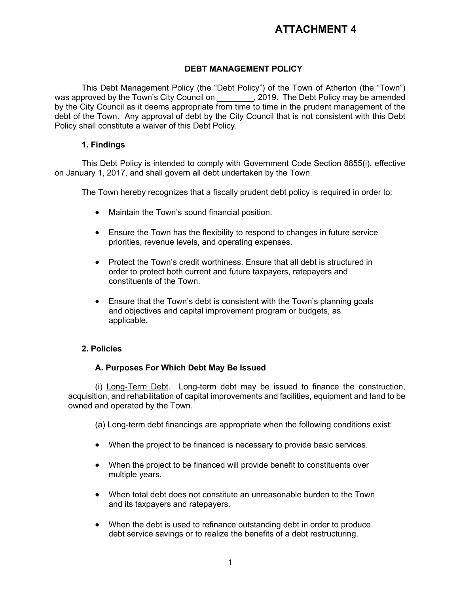# **ATTACHMENT 4**

# **DEBT MANAGEMENT POLICY**

This Debt Management Policy (the "Debt Policy") of the Town of Atherton (the "Town") was approved by the Town's City Council on  $\hspace{1.5cm}$ , 2019. The Debt Policy may be amended by the City Council as it deems appropriate from time to time in the prudent management of the debt of the Town. Any approval of debt by the City Council that is not consistent with this Debt Policy shall constitute a waiver of this Debt Policy.

# **1. Findings**

This Debt Policy is intended to comply with Government Code Section 8855(i), effective on January 1, 2017, and shall govern all debt undertaken by the Town.

The Town hereby recognizes that a fiscally prudent debt policy is required in order to:

- Maintain the Town's sound financial position.
- Ensure the Town has the flexibility to respond to changes in future service priorities, revenue levels, and operating expenses.
- Protect the Town's credit worthiness. Ensure that all debt is structured in order to protect both current and future taxpayers, ratepayers and constituents of the Town.
- Ensure that the Town's debt is consistent with the Town's planning goals and objectives and capital improvement program or budgets, as applicable.

# **2. Policies**

# **A. Purposes For Which Debt May Be Issued**

(i) Long-Term Debt. Long-term debt may be issued to finance the construction, acquisition, and rehabilitation of capital improvements and facilities, equipment and land to be owned and operated by the Town.

(a) Long-term debt financings are appropriate when the following conditions exist:

- When the project to be financed is necessary to provide basic services.
- When the project to be financed will provide benefit to constituents over multiple years.
- When total debt does not constitute an unreasonable burden to the Town and its taxpayers and ratepayers.
- When the debt is used to refinance outstanding debt in order to produce debt service savings or to realize the benefits of a debt restructuring.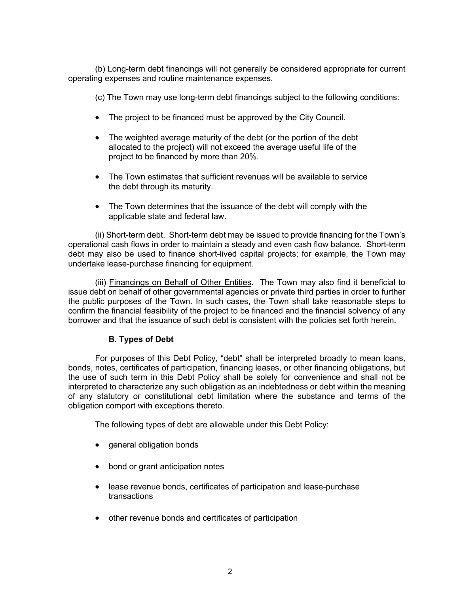(b) Long-term debt financings will not generally be considered appropriate for current operating expenses and routine maintenance expenses.

(c) The Town may use long-term debt financings subject to the following conditions:

- The project to be financed must be approved by the City Council.
- The weighted average maturity of the debt (or the portion of the debt allocated to the project) will not exceed the average useful life of the project to be financed by more than 20%.
- The Town estimates that sufficient revenues will be available to service the debt through its maturity.
- The Town determines that the issuance of the debt will comply with the applicable state and federal law.

(ii) Short-term debt. Short-term debt may be issued to provide financing for the Town's operational cash flows in order to maintain a steady and even cash flow balance. Short-term debt may also be used to finance short-lived capital projects; for example, the Town may undertake lease-purchase financing for equipment.

(iii) Financings on Behalf of Other Entities. The Town may also find it beneficial to issue debt on behalf of other governmental agencies or private third parties in order to further the public purposes of the Town. In such cases, the Town shall take reasonable steps to confirm the financial feasibility of the project to be financed and the financial solvency of any borrower and that the issuance of such debt is consistent with the policies set forth herein.

# **B. Types of Debt**

For purposes of this Debt Policy, "debt" shall be interpreted broadly to mean loans, bonds, notes, certificates of participation, financing leases, or other financing obligations, but the use of such term in this Debt Policy shall be solely for convenience and shall not be interpreted to characterize any such obligation as an indebtedness or debt within the meaning of any statutory or constitutional debt limitation where the substance and terms of the obligation comport with exceptions thereto.

The following types of debt are allowable under this Debt Policy:

- general obligation bonds
- bond or grant anticipation notes
- lease revenue bonds, certificates of participation and lease-purchase transactions
- other revenue bonds and certificates of participation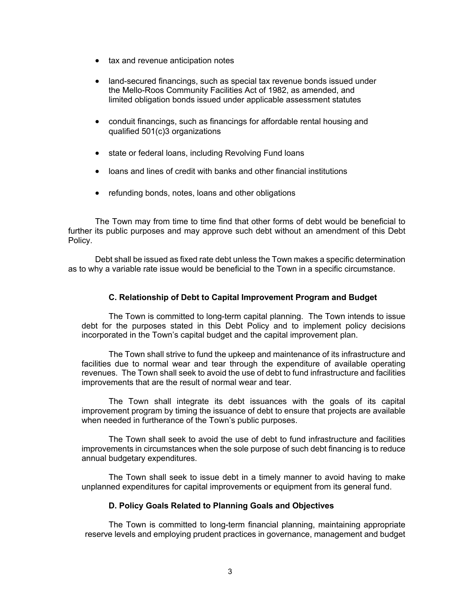- tax and revenue anticipation notes
- land-secured financings, such as special tax revenue bonds issued under the Mello-Roos Community Facilities Act of 1982, as amended, and limited obligation bonds issued under applicable assessment statutes
- conduit financings, such as financings for affordable rental housing and qualified 501(c)3 organizations
- state or federal loans, including Revolving Fund loans
- loans and lines of credit with banks and other financial institutions
- refunding bonds, notes, loans and other obligations

The Town may from time to time find that other forms of debt would be beneficial to further its public purposes and may approve such debt without an amendment of this Debt Policy.

Debt shall be issued as fixed rate debt unless the Town makes a specific determination as to why a variable rate issue would be beneficial to the Town in a specific circumstance.

#### **C. Relationship of Debt to Capital Improvement Program and Budget**

The Town is committed to long-term capital planning. The Town intends to issue debt for the purposes stated in this Debt Policy and to implement policy decisions incorporated in the Town's capital budget and the capital improvement plan.

The Town shall strive to fund the upkeep and maintenance of its infrastructure and facilities due to normal wear and tear through the expenditure of available operating revenues. The Town shall seek to avoid the use of debt to fund infrastructure and facilities improvements that are the result of normal wear and tear.

The Town shall integrate its debt issuances with the goals of its capital improvement program by timing the issuance of debt to ensure that projects are available when needed in furtherance of the Town's public purposes.

The Town shall seek to avoid the use of debt to fund infrastructure and facilities improvements in circumstances when the sole purpose of such debt financing is to reduce annual budgetary expenditures.

The Town shall seek to issue debt in a timely manner to avoid having to make unplanned expenditures for capital improvements or equipment from its general fund.

### **D. Policy Goals Related to Planning Goals and Objectives**

The Town is committed to long-term financial planning, maintaining appropriate reserve levels and employing prudent practices in governance, management and budget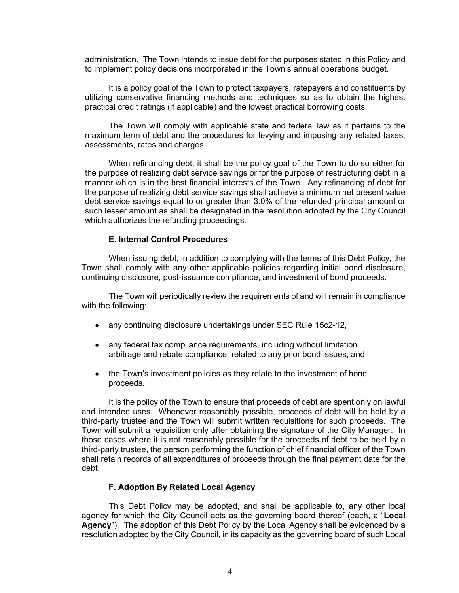administration. The Town intends to issue debt for the purposes stated in this Policy and to implement policy decisions incorporated in the Town's annual operations budget.

It is a policy goal of the Town to protect taxpayers, ratepayers and constituents by utilizing conservative financing methods and techniques so as to obtain the highest practical credit ratings (if applicable) and the lowest practical borrowing costs.

The Town will comply with applicable state and federal law as it pertains to the maximum term of debt and the procedures for levying and imposing any related taxes, assessments, rates and charges.

When refinancing debt, it shall be the policy goal of the Town to do so either for the purpose of realizing debt service savings or for the purpose of restructuring debt in a manner which is in the best financial interests of the Town. Any refinancing of debt for the purpose of realizing debt service savings shall achieve a minimum net present value debt service savings equal to or greater than 3.0% of the refunded principal amount or such lesser amount as shall be designated in the resolution adopted by the City Council which authorizes the refunding proceedings.

#### **E. Internal Control Procedures**

When issuing debt, in addition to complying with the terms of this Debt Policy, the Town shall comply with any other applicable policies regarding initial bond disclosure, continuing disclosure, post-issuance compliance, and investment of bond proceeds.

The Town will periodically review the requirements of and will remain in compliance with the following:

- any continuing disclosure undertakings under SEC Rule 15c2-12,
- any federal tax compliance requirements, including without limitation arbitrage and rebate compliance, related to any prior bond issues, and
- the Town's investment policies as they relate to the investment of bond proceeds.

It is the policy of the Town to ensure that proceeds of debt are spent only on lawful and intended uses. Whenever reasonably possible, proceeds of debt will be held by a third-party trustee and the Town will submit written requisitions for such proceeds. The Town will submit a requisition only after obtaining the signature of the City Manager. In those cases where it is not reasonably possible for the proceeds of debt to be held by a third-party trustee, the person performing the function of chief financial officer of the Town shall retain records of all expenditures of proceeds through the final payment date for the debt.

#### **F. Adoption By Related Local Agency**

This Debt Policy may be adopted, and shall be applicable to, any other local agency for which the City Council acts as the governing board thereof (each, a "**Local Agency**"). The adoption of this Debt Policy by the Local Agency shall be evidenced by a resolution adopted by the City Council, in its capacity as the governing board of such Local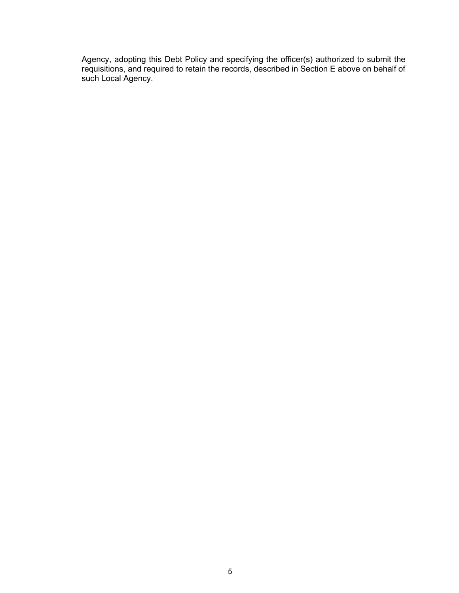Agency, adopting this Debt Policy and specifying the officer(s) authorized to submit the requisitions, and required to retain the records, described in Section E above on behalf of such Local Agency.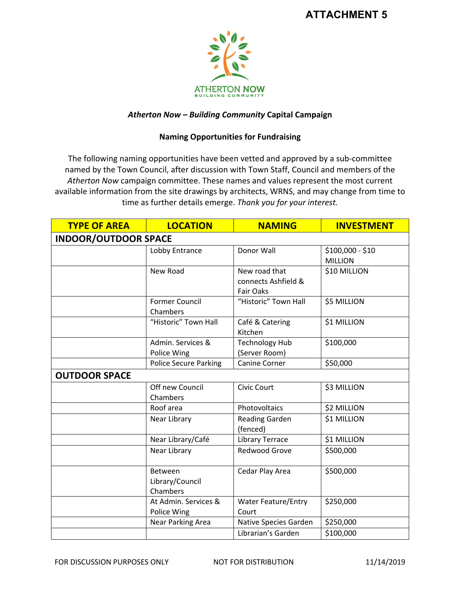

# *Atherton Now – Building Community* **Capital Campaign**

# **Naming Opportunities for Fundraising**

The following naming opportunities have been vetted and approved by a sub-committee named by the Town Council, after discussion with Town Staff, Council and members of the *Atherton Now* campaign committee. These names and values represent the most current available information from the site drawings by architects, WRNS, and may change from time to time as further details emerge. *Thank you for your interest.*

| <b>TYPE OF AREA</b>         | <b>LOCATION</b>                        | <b>NAMING</b>                                            | <b>INVESTMENT</b>                  |  |  |
|-----------------------------|----------------------------------------|----------------------------------------------------------|------------------------------------|--|--|
| <b>INDOOR/OUTDOOR SPACE</b> |                                        |                                                          |                                    |  |  |
|                             | Lobby Entrance                         | Donor Wall                                               | \$100,000 - \$10<br><b>MILLION</b> |  |  |
|                             | New Road                               | New road that<br>connects Ashfield &<br><b>Fair Oaks</b> | \$10 MILLION                       |  |  |
|                             | <b>Former Council</b><br>Chambers      | "Historic" Town Hall                                     | \$5 MILLION                        |  |  |
|                             | "Historic" Town Hall                   | Café & Catering<br>Kitchen                               | \$1 MILLION                        |  |  |
|                             | Admin. Services &<br>Police Wing       | <b>Technology Hub</b><br>(Server Room)                   | \$100,000                          |  |  |
|                             | <b>Police Secure Parking</b>           | Canine Corner                                            | \$50,000                           |  |  |
| <b>OUTDOOR SPACE</b>        |                                        |                                                          |                                    |  |  |
|                             | Off new Council<br>Chambers            | Civic Court                                              | \$3 MILLION                        |  |  |
|                             | Roof area                              | Photovoltaics                                            | \$2 MILLION                        |  |  |
|                             | Near Library                           | <b>Reading Garden</b><br>(fenced)                        | \$1 MILLION                        |  |  |
|                             | Near Library/Café                      | <b>Library Terrace</b>                                   | \$1 MILLION                        |  |  |
|                             | Near Library                           | <b>Redwood Grove</b>                                     | \$500,000                          |  |  |
|                             | Between<br>Library/Council<br>Chambers | Cedar Play Area                                          | \$500,000                          |  |  |
|                             | At Admin. Services &<br>Police Wing    | <b>Water Feature/Entry</b><br>Court                      | \$250,000                          |  |  |
|                             | <b>Near Parking Area</b>               | Native Species Garden                                    | \$250,000                          |  |  |
|                             |                                        | Librarian's Garden                                       | \$100,000                          |  |  |